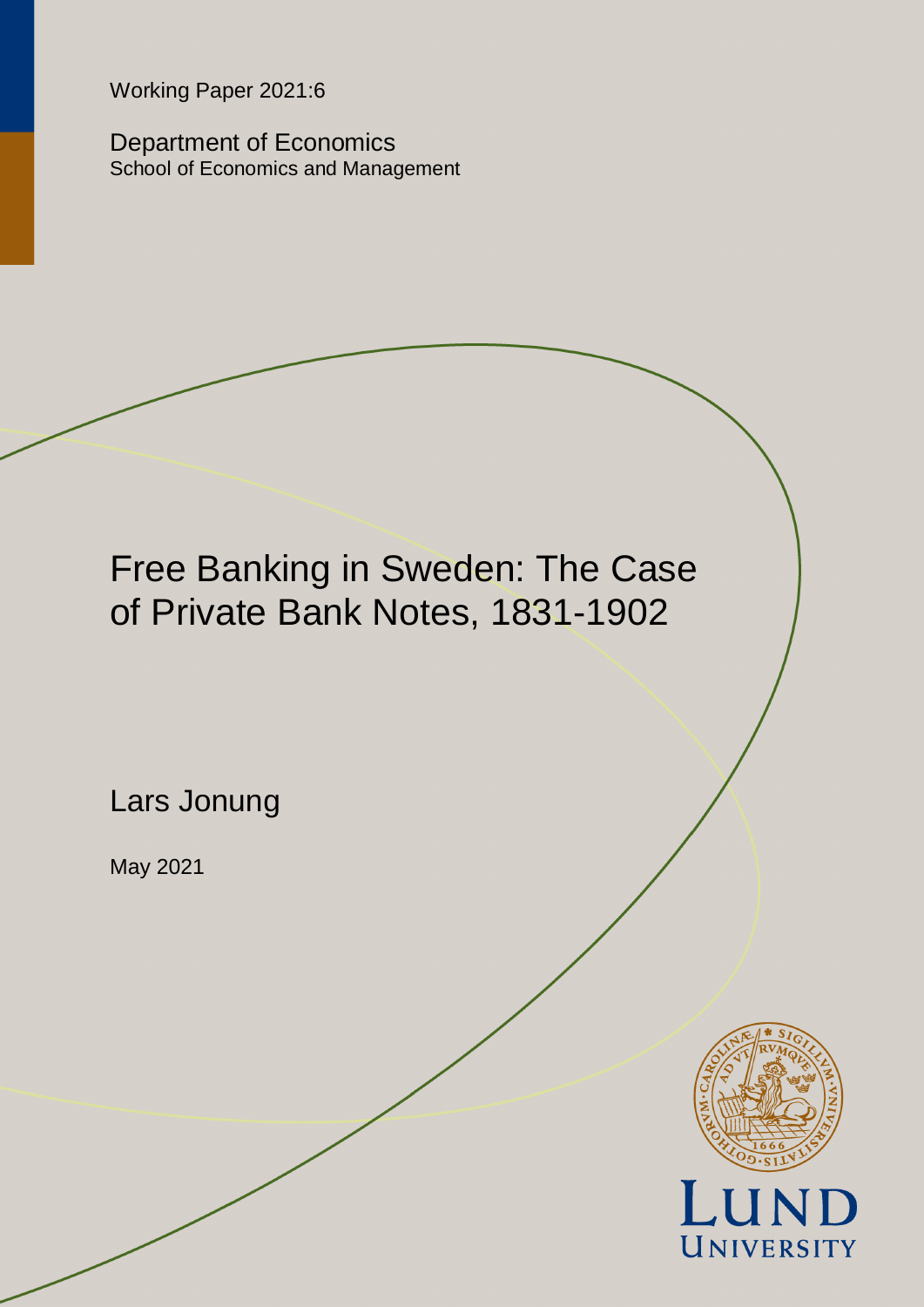Working Paper 2021:6

Department of Economics School of Economics and Management

Free Banking in Sweden: The Case of Private Bank Notes, 1831-1902

Lars Jonung

May 2021

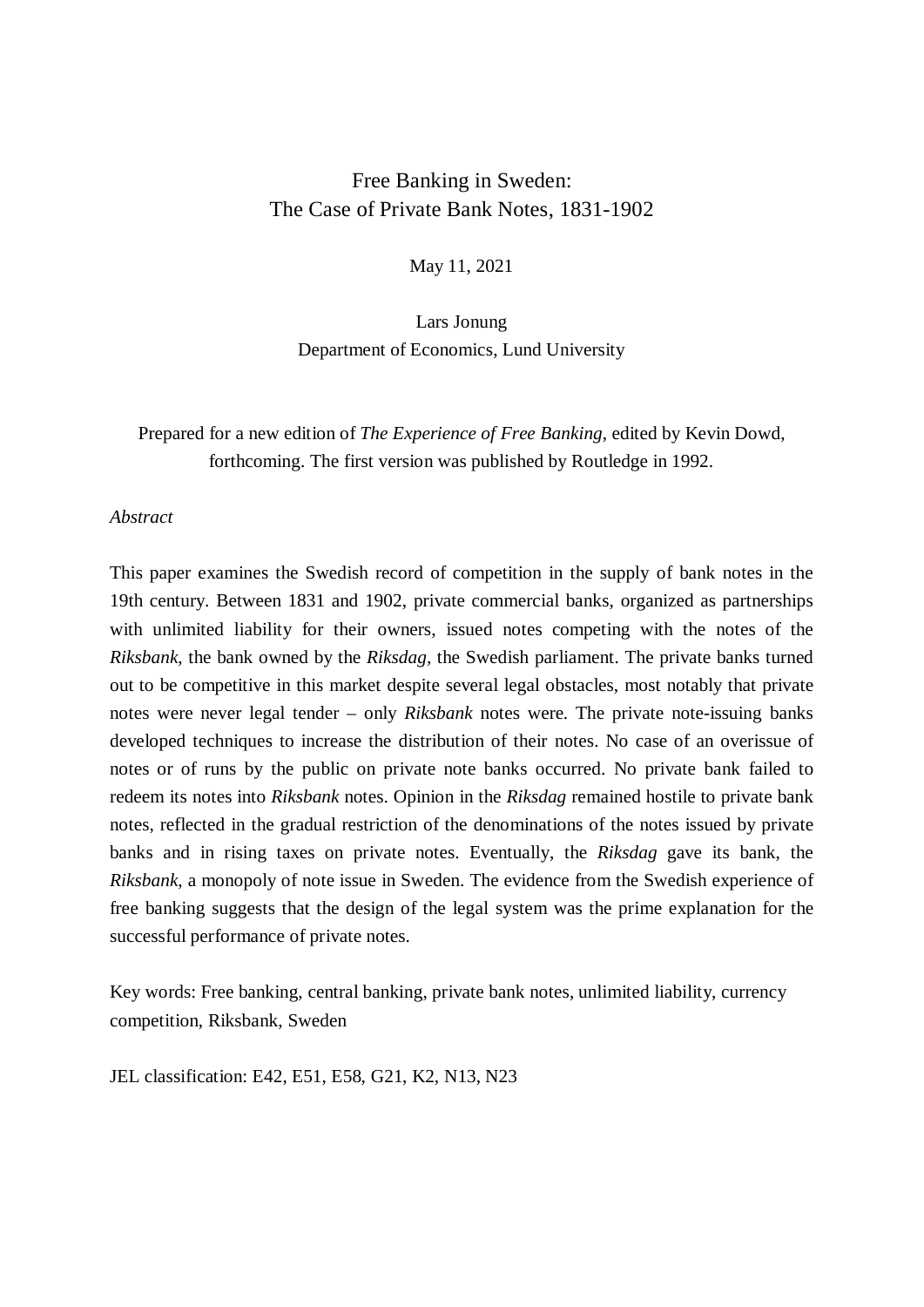## Free Banking in Sweden: The Case of Private Bank Notes, 1831-1902

May 11, 2021

Lars Jonung Department of Economics, Lund University

# Prepared for a new edition of *The Experience of Free Banking*, edited by Kevin Dowd, forthcoming. The first version was published by Routledge in 1992.

## *Abstract*

This paper examines the Swedish record of competition in the supply of bank notes in the 19th century. Between 1831 and 1902, private commercial banks, organized as partnerships with unlimited liability for their owners, issued notes competing with the notes of the *Riksbank*, the bank owned by the *Riksdag,* the Swedish parliament. The private banks turned out to be competitive in this market despite several legal obstacles, most notably that private notes were never legal tender – only *Riksbank* notes were. The private note-issuing banks developed techniques to increase the distribution of their notes. No case of an overissue of notes or of runs by the public on private note banks occurred. No private bank failed to redeem its notes into *Riksbank* notes. Opinion in the *Riksdag* remained hostile to private bank notes, reflected in the gradual restriction of the denominations of the notes issued by private banks and in rising taxes on private notes. Eventually, the *Riksdag* gave its bank, the *Riksbank*, a monopoly of note issue in Sweden. The evidence from the Swedish experience of free banking suggests that the design of the legal system was the prime explanation for the successful performance of private notes.

Key words: Free banking, central banking, private bank notes, unlimited liability, currency competition, Riksbank, Sweden

JEL classification: E42, E51, E58, G21, K2, N13, N23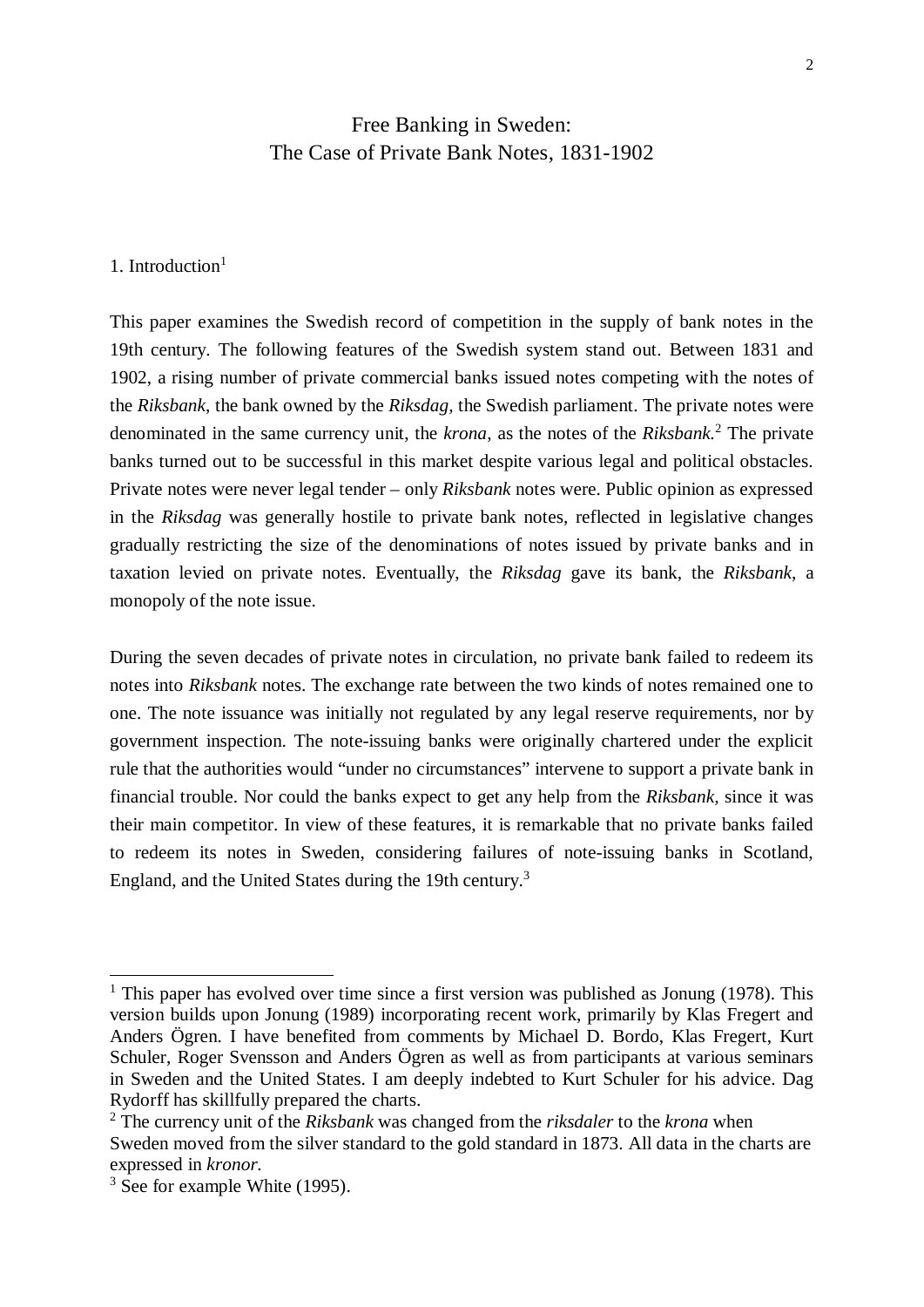# Free Banking in Sweden: The Case of Private Bank Notes, 1831-1902

#### 1. Introduction $<sup>1</sup>$ </sup>

This paper examines the Swedish record of competition in the supply of bank notes in the 19th century. The following features of the Swedish system stand out. Between 1831 and 1902, a rising number of private commercial banks issued notes competing with the notes of the *Riksbank*, the bank owned by the *Riksdag,* the Swedish parliament. The private notes were denominated in the same currency unit, the *krona*, as the notes of the *Riksbank.*<sup>2</sup> The private banks turned out to be successful in this market despite various legal and political obstacles. Private notes were never legal tender – only *Riksbank* notes were. Public opinion as expressed in the *Riksdag* was generally hostile to private bank notes, reflected in legislative changes gradually restricting the size of the denominations of notes issued by private banks and in taxation levied on private notes. Eventually, the *Riksdag* gave its bank, the *Riksbank*, a monopoly of the note issue.

During the seven decades of private notes in circulation, no private bank failed to redeem its notes into *Riksbank* notes. The exchange rate between the two kinds of notes remained one to one. The note issuance was initially not regulated by any legal reserve requirements, nor by government inspection. The note-issuing banks were originally chartered under the explicit rule that the authorities would "under no circumstances" intervene to support a private bank in financial trouble. Nor could the banks expect to get any help from the *Riksbank,* since it was their main competitor. In view of these features, it is remarkable that no private banks failed to redeem its notes in Sweden, considering failures of note-issuing banks in Scotland, England, and the United States during the 19th century.<sup>3</sup>

<sup>&</sup>lt;sup>1</sup> This paper has evolved over time since a first version was published as Jonung (1978). This version builds upon Jonung (1989) incorporating recent work, primarily by Klas Fregert and Anders Ögren. I have benefited from comments by Michael D. Bordo, Klas Fregert, Kurt Schuler, Roger Svensson and Anders Ögren as well as from participants at various seminars in Sweden and the United States. I am deeply indebted to Kurt Schuler for his advice. Dag Rydorff has skillfully prepared the charts.

<sup>2</sup> The currency unit of the *Riksbank* was changed from the *riksdaler* to the *krona* when Sweden moved from the silver standard to the gold standard in 1873. All data in the charts are expressed in *kronor*.

<sup>&</sup>lt;sup>3</sup> See for example White (1995).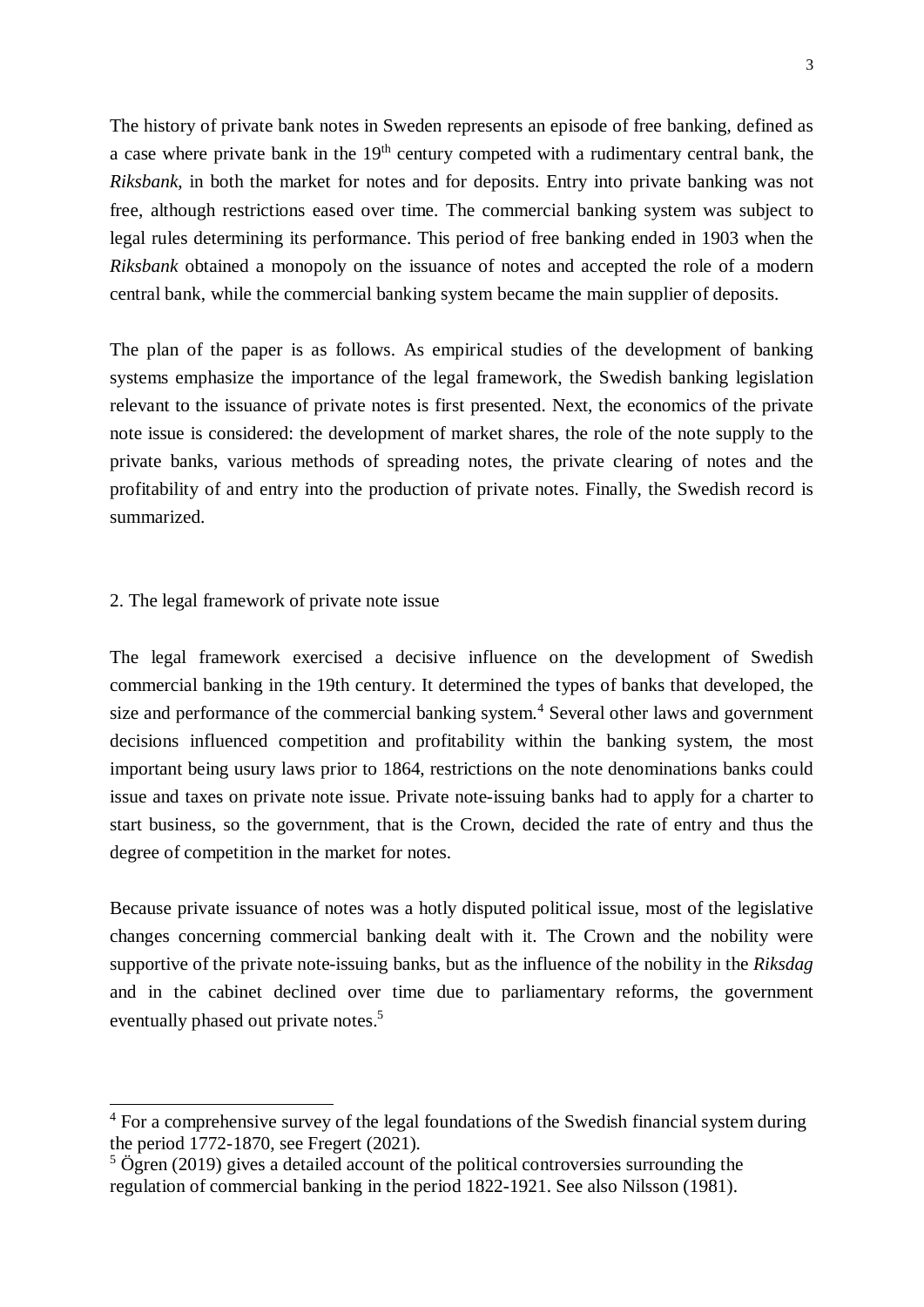The history of private bank notes in Sweden represents an episode of free banking, defined as a case where private bank in the 19<sup>th</sup> century competed with a rudimentary central bank, the *Riksbank*, in both the market for notes and for deposits. Entry into private banking was not free, although restrictions eased over time. The commercial banking system was subject to legal rules determining its performance. This period of free banking ended in 1903 when the *Riksbank* obtained a monopoly on the issuance of notes and accepted the role of a modern central bank, while the commercial banking system became the main supplier of deposits.

The plan of the paper is as follows. As empirical studies of the development of banking systems emphasize the importance of the legal framework, the Swedish banking legislation relevant to the issuance of private notes is first presented. Next, the economics of the private note issue is considered: the development of market shares, the role of the note supply to the private banks, various methods of spreading notes, the private clearing of notes and the profitability of and entry into the production of private notes. Finally, the Swedish record is summarized.

## 2. The legal framework of private note issue

The legal framework exercised a decisive influence on the development of Swedish commercial banking in the 19th century. It determined the types of banks that developed, the size and performance of the commercial banking system.<sup>4</sup> Several other laws and government decisions influenced competition and profitability within the banking system, the most important being usury laws prior to 1864, restrictions on the note denominations banks could issue and taxes on private note issue. Private note-issuing banks had to apply for a charter to start business, so the government, that is the Crown, decided the rate of entry and thus the degree of competition in the market for notes.

Because private issuance of notes was a hotly disputed political issue, most of the legislative changes concerning commercial banking dealt with it. The Crown and the nobility were supportive of the private note-issuing banks, but as the influence of the nobility in the *Riksdag* and in the cabinet declined over time due to parliamentary reforms, the government eventually phased out private notes.<sup>5</sup>

<sup>&</sup>lt;sup>4</sup> For a comprehensive survey of the legal foundations of the Swedish financial system during the period 1772-1870, see Fregert (2021).

 $5$  Ögren (2019) gives a detailed account of the political controversies surrounding the regulation of commercial banking in the period 1822-1921. See also Nilsson (1981).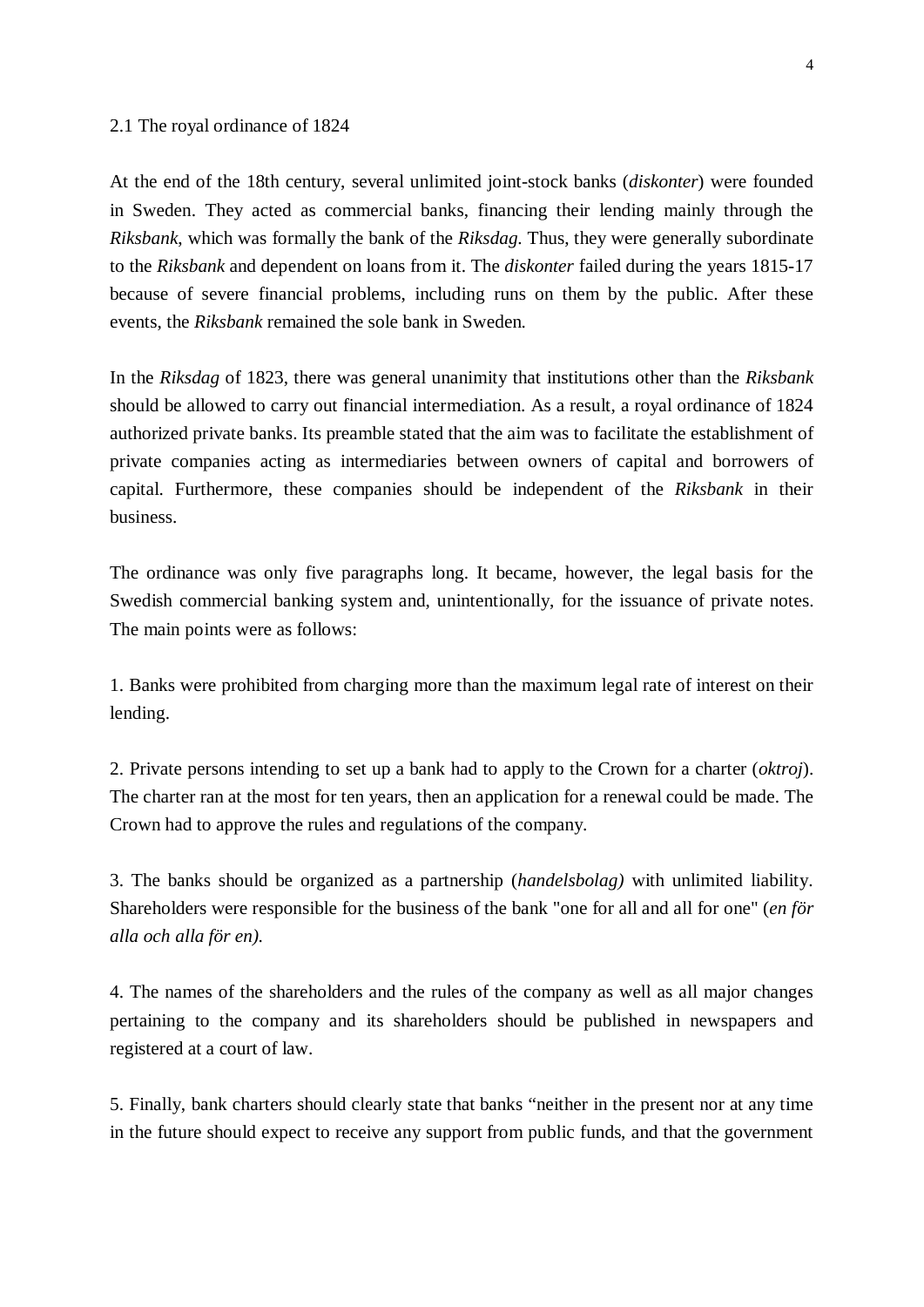#### 2.1 The royal ordinance of 1824

At the end of the 18th century, several unlimited joint-stock banks (*diskonter*) were founded in Sweden. They acted as commercial banks, financing their lending mainly through the *Riksbank*, which was formally the bank of the *Riksdag.* Thus, they were generally subordinate to the *Riksbank* and dependent on loans from it. The *diskonter* failed during the years 1815-17 because of severe financial problems, including runs on them by the public. After these events, the *Riksbank* remained the sole bank in Sweden.

In the *Riksdag* of 1823, there was general unanimity that institutions other than the *Riksbank* should be allowed to carry out financial intermediation. As a result, a royal ordinance of 1824 authorized private banks. Its preamble stated that the aim was to facilitate the establishment of private companies acting as intermediaries between owners of capital and borrowers of capital. Furthermore, these companies should be independent of the *Riksbank* in their business.

The ordinance was only five paragraphs long. It became, however, the legal basis for the Swedish commercial banking system and, unintentionally, for the issuance of private notes. The main points were as follows:

1. Banks were prohibited from charging more than the maximum legal rate of interest on their lending.

2. Private persons intending to set up a bank had to apply to the Crown for a charter (*oktroj*). The charter ran at the most for ten years, then an application for a renewal could be made. The Crown had to approve the rules and regulations of the company.

3. The banks should be organized as a partnership (*handelsbolag)* with unlimited liability. Shareholders were responsible for the business of the bank "one for all and all for one" (*en för alla och alla för en).*

4. The names of the shareholders and the rules of the company as well as all major changes pertaining to the company and its shareholders should be published in newspapers and registered at a court of law.

5. Finally, bank charters should clearly state that banks "neither in the present nor at any time in the future should expect to receive any support from public funds, and that the government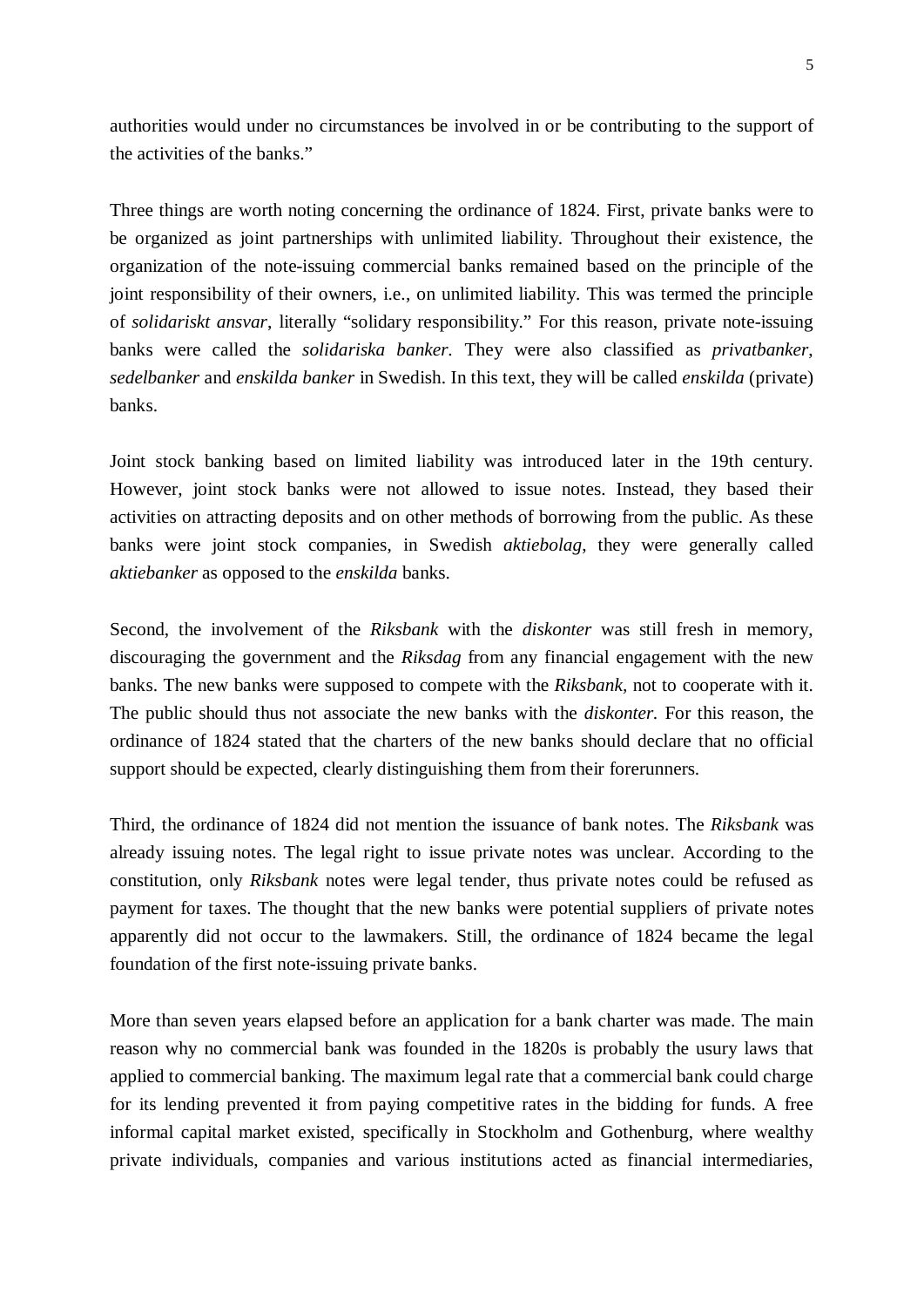authorities would under no circumstances be involved in or be contributing to the support of the activities of the banks."

Three things are worth noting concerning the ordinance of 1824. First, private banks were to be organized as joint partnerships with unlimited liability. Throughout their existence, the organization of the note-issuing commercial banks remained based on the principle of the joint responsibility of their owners, i.e., on unlimited liability. This was termed the principle of *solidariskt ansvar*, literally "solidary responsibility." For this reason, private note-issuing banks were called the *solidariska banker.* They were also classified as *privatbanker*, *sedelbanker* and *enskilda banker* in Swedish. In this text, they will be called *enskilda* (private) banks.

Joint stock banking based on limited liability was introduced later in the 19th century. However, joint stock banks were not allowed to issue notes. Instead, they based their activities on attracting deposits and on other methods of borrowing from the public. As these banks were joint stock companies, in Swedish *aktiebolag*, they were generally called *aktiebanker* as opposed to the *enskilda* banks.

Second, the involvement of the *Riksbank* with the *diskonter* was still fresh in memory, discouraging the government and the *Riksdag* from any financial engagement with the new banks. The new banks were supposed to compete with the *Riksbank,* not to cooperate with it. The public should thus not associate the new banks with the *diskonter*. For this reason, the ordinance of 1824 stated that the charters of the new banks should declare that no official support should be expected, clearly distinguishing them from their forerunners.

Third, the ordinance of 1824 did not mention the issuance of bank notes. The *Riksbank* was already issuing notes. The legal right to issue private notes was unclear. According to the constitution, only *Riksbank* notes were legal tender, thus private notes could be refused as payment for taxes. The thought that the new banks were potential suppliers of private notes apparently did not occur to the lawmakers. Still, the ordinance of 1824 became the legal foundation of the first note-issuing private banks.

More than seven years elapsed before an application for a bank charter was made. The main reason why no commercial bank was founded in the 1820s is probably the usury laws that applied to commercial banking. The maximum legal rate that a commercial bank could charge for its lending prevented it from paying competitive rates in the bidding for funds. A free informal capital market existed, specifically in Stockholm and Gothenburg, where wealthy private individuals, companies and various institutions acted as financial intermediaries,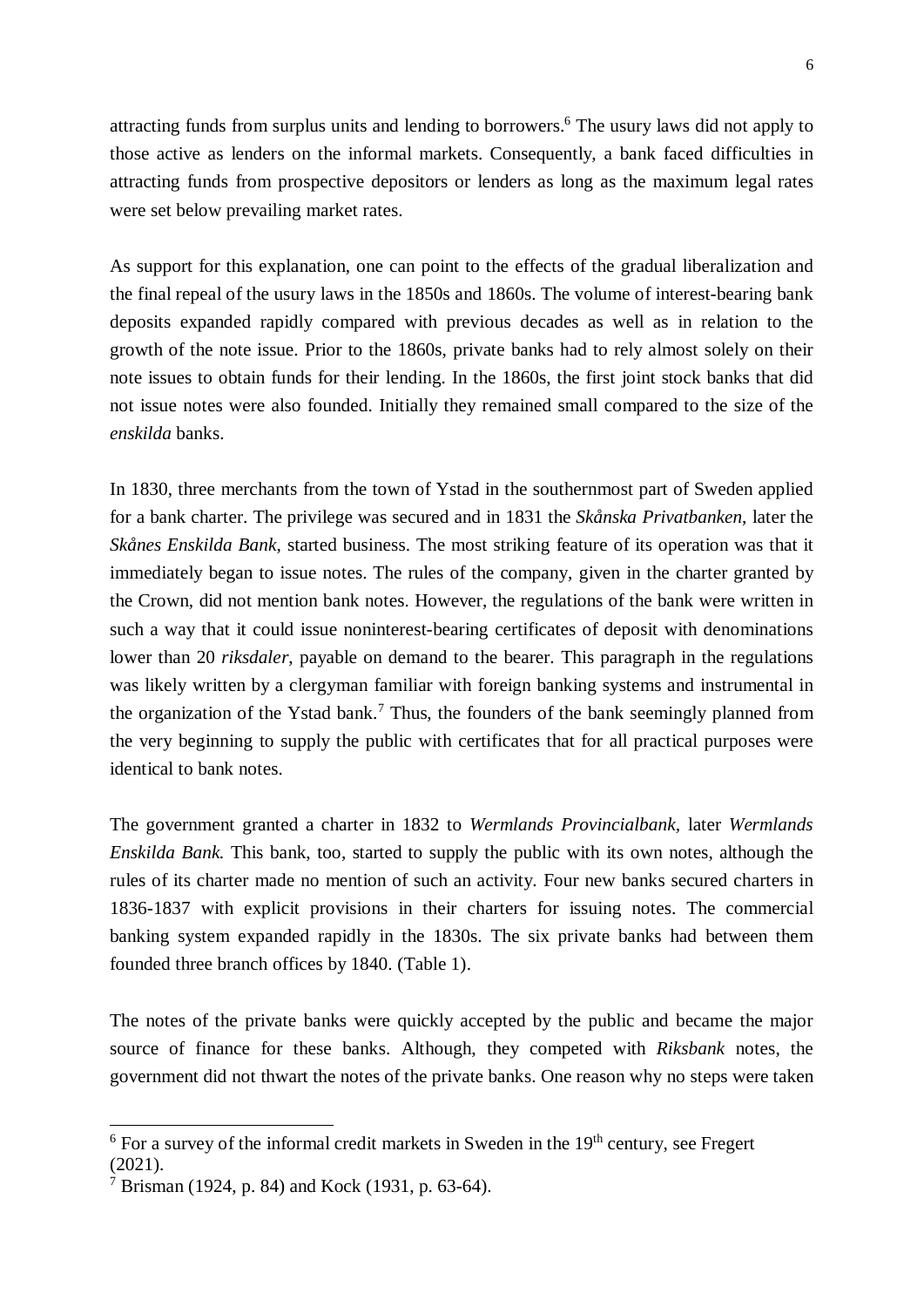attracting funds from surplus units and lending to borrowers.<sup>6</sup> The usury laws did not apply to those active as lenders on the informal markets. Consequently, a bank faced difficulties in attracting funds from prospective depositors or lenders as long as the maximum legal rates were set below prevailing market rates.

As support for this explanation, one can point to the effects of the gradual liberalization and the final repeal of the usury laws in the 1850s and 1860s. The volume of interest-bearing bank deposits expanded rapidly compared with previous decades as well as in relation to the growth of the note issue. Prior to the 1860s, private banks had to rely almost solely on their note issues to obtain funds for their lending. In the 1860s, the first joint stock banks that did not issue notes were also founded. Initially they remained small compared to the size of the *enskilda* banks.

In 1830, three merchants from the town of Ystad in the southernmost part of Sweden applied for a bank charter. The privilege was secured and in 1831 the *Skånska Privatbanken*, later the *Skånes Enskilda Bank*, started business. The most striking feature of its operation was that it immediately began to issue notes. The rules of the company, given in the charter granted by the Crown, did not mention bank notes. However, the regulations of the bank were written in such a way that it could issue noninterest-bearing certificates of deposit with denominations lower than 20 *riksdaler*, payable on demand to the bearer. This paragraph in the regulations was likely written by a clergyman familiar with foreign banking systems and instrumental in the organization of the Ystad bank.<sup>7</sup> Thus, the founders of the bank seemingly planned from the very beginning to supply the public with certificates that for all practical purposes were identical to bank notes.

The government granted a charter in 1832 to *Wermlands Provincialbank,* later *Wermlands Enskilda Bank.* This bank, too, started to supply the public with its own notes, although the rules of its charter made no mention of such an activity. Four new banks secured charters in 1836-1837 with explicit provisions in their charters for issuing notes. The commercial banking system expanded rapidly in the 1830s. The six private banks had between them founded three branch offices by 1840. (Table 1).

The notes of the private banks were quickly accepted by the public and became the major source of finance for these banks. Although, they competed with *Riksbank* notes, the government did not thwart the notes of the private banks. One reason why no steps were taken

 $6$  For a survey of the informal credit markets in Sweden in the 19<sup>th</sup> century, see Fregert

<sup>(2021).</sup>

<sup>7</sup> Brisman (1924, p. 84) and Kock (1931, p. 63-64).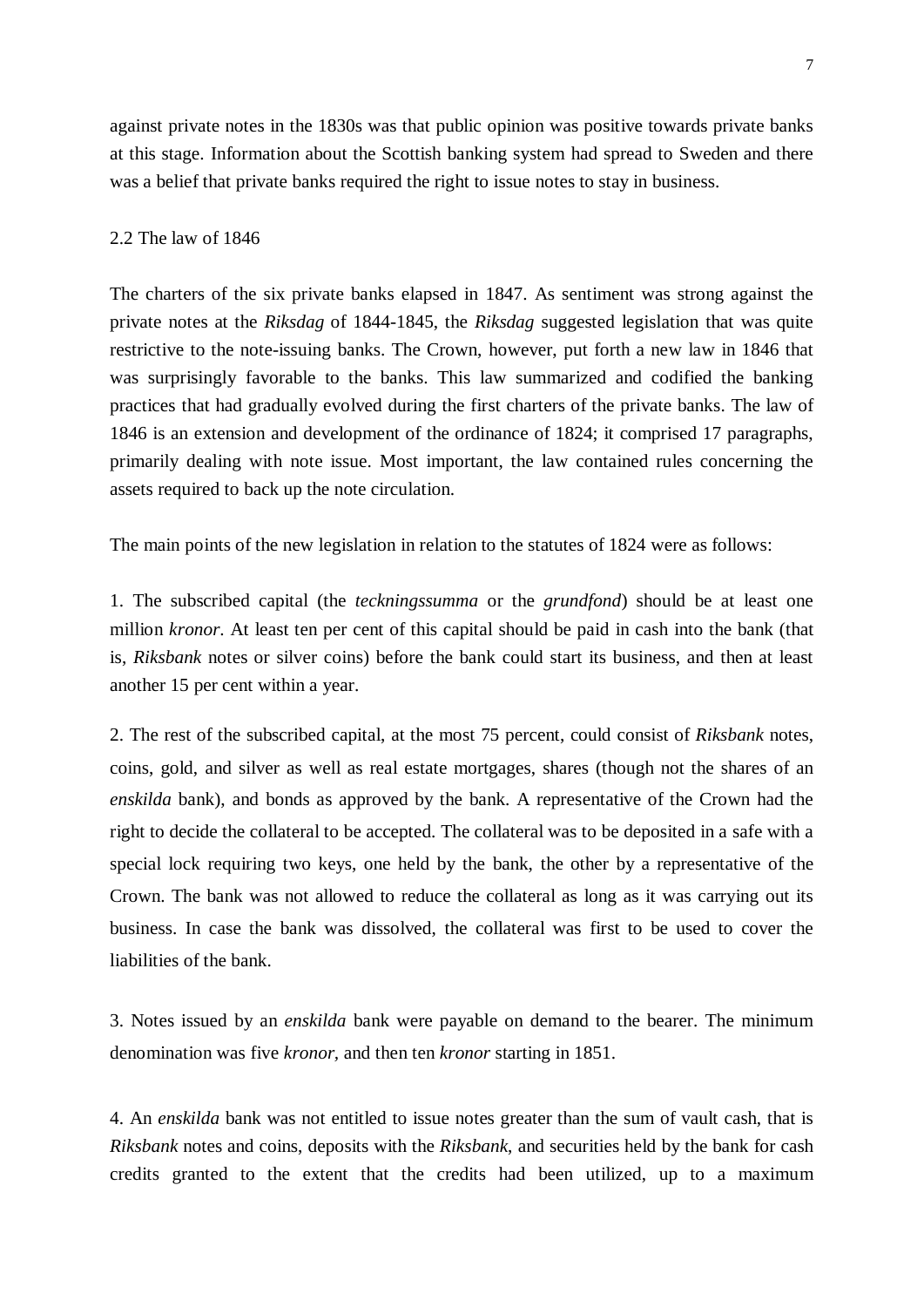against private notes in the 1830s was that public opinion was positive towards private banks at this stage. Information about the Scottish banking system had spread to Sweden and there was a belief that private banks required the right to issue notes to stay in business.

#### 2.2 The law of 1846

The charters of the six private banks elapsed in 1847. As sentiment was strong against the private notes at the *Riksdag* of 1844-1845, the *Riksdag* suggested legislation that was quite restrictive to the note-issuing banks. The Crown, however, put forth a new law in 1846 that was surprisingly favorable to the banks. This law summarized and codified the banking practices that had gradually evolved during the first charters of the private banks. The law of 1846 is an extension and development of the ordinance of 1824; it comprised 17 paragraphs, primarily dealing with note issue. Most important, the law contained rules concerning the assets required to back up the note circulation.

The main points of the new legislation in relation to the statutes of 1824 were as follows:

1. The subscribed capital (the *teckningssumma* or the *grundfond*) should be at least one million *kronor*. At least ten per cent of this capital should be paid in cash into the bank (that is, *Riksbank* notes or silver coins) before the bank could start its business, and then at least another 15 per cent within a year.

2. The rest of the subscribed capital, at the most 75 percent, could consist of *Riksbank* notes, coins, gold, and silver as well as real estate mortgages, shares (though not the shares of an *enskilda* bank), and bonds as approved by the bank. A representative of the Crown had the right to decide the collateral to be accepted. The collateral was to be deposited in a safe with a special lock requiring two keys, one held by the bank, the other by a representative of the Crown. The bank was not allowed to reduce the collateral as long as it was carrying out its business. In case the bank was dissolved, the collateral was first to be used to cover the liabilities of the bank.

3. Notes issued by an *enskilda* bank were payable on demand to the bearer. The minimum denomination was five *kronor,* and then ten *kronor* starting in 1851.

4. An *enskilda* bank was not entitled to issue notes greater than the sum of vault cash, that is *Riksbank* notes and coins, deposits with the *Riksbank*, and securities held by the bank for cash credits granted to the extent that the credits had been utilized, up to a maximum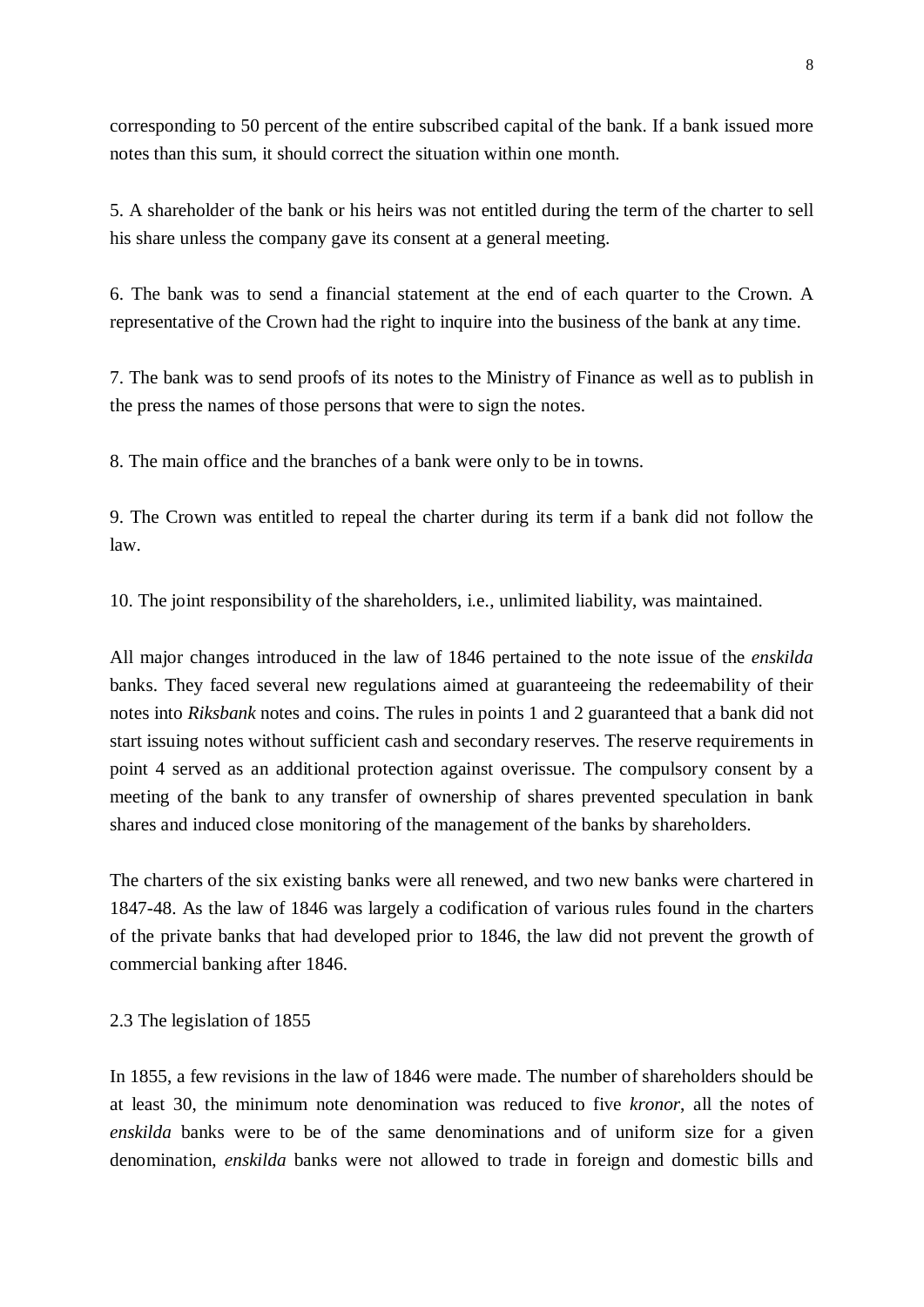corresponding to 50 percent of the entire subscribed capital of the bank. If a bank issued more notes than this sum, it should correct the situation within one month.

5. A shareholder of the bank or his heirs was not entitled during the term of the charter to sell his share unless the company gave its consent at a general meeting.

6. The bank was to send a financial statement at the end of each quarter to the Crown. A representative of the Crown had the right to inquire into the business of the bank at any time.

7. The bank was to send proofs of its notes to the Ministry of Finance as well as to publish in the press the names of those persons that were to sign the notes.

8. The main office and the branches of a bank were only to be in towns.

9. The Crown was entitled to repeal the charter during its term if a bank did not follow the law.

10. The joint responsibility of the shareholders, i.e., unlimited liability, was maintained.

All major changes introduced in the law of 1846 pertained to the note issue of the *enskilda* banks. They faced several new regulations aimed at guaranteeing the redeemability of their notes into *Riksbank* notes and coins. The rules in points 1 and 2 guaranteed that a bank did not start issuing notes without sufficient cash and secondary reserves. The reserve requirements in point 4 served as an additional protection against overissue. The compulsory consent by a meeting of the bank to any transfer of ownership of shares prevented speculation in bank shares and induced close monitoring of the management of the banks by shareholders.

The charters of the six existing banks were all renewed, and two new banks were chartered in 1847-48. As the law of 1846 was largely a codification of various rules found in the charters of the private banks that had developed prior to 1846, the law did not prevent the growth of commercial banking after 1846.

## 2.3 The legislation of 1855

In 1855, a few revisions in the law of 1846 were made. The number of shareholders should be at least 30, the minimum note denomination was reduced to five *kronor*, all the notes of *enskilda* banks were to be of the same denominations and of uniform size for a given denomination, *enskilda* banks were not allowed to trade in foreign and domestic bills and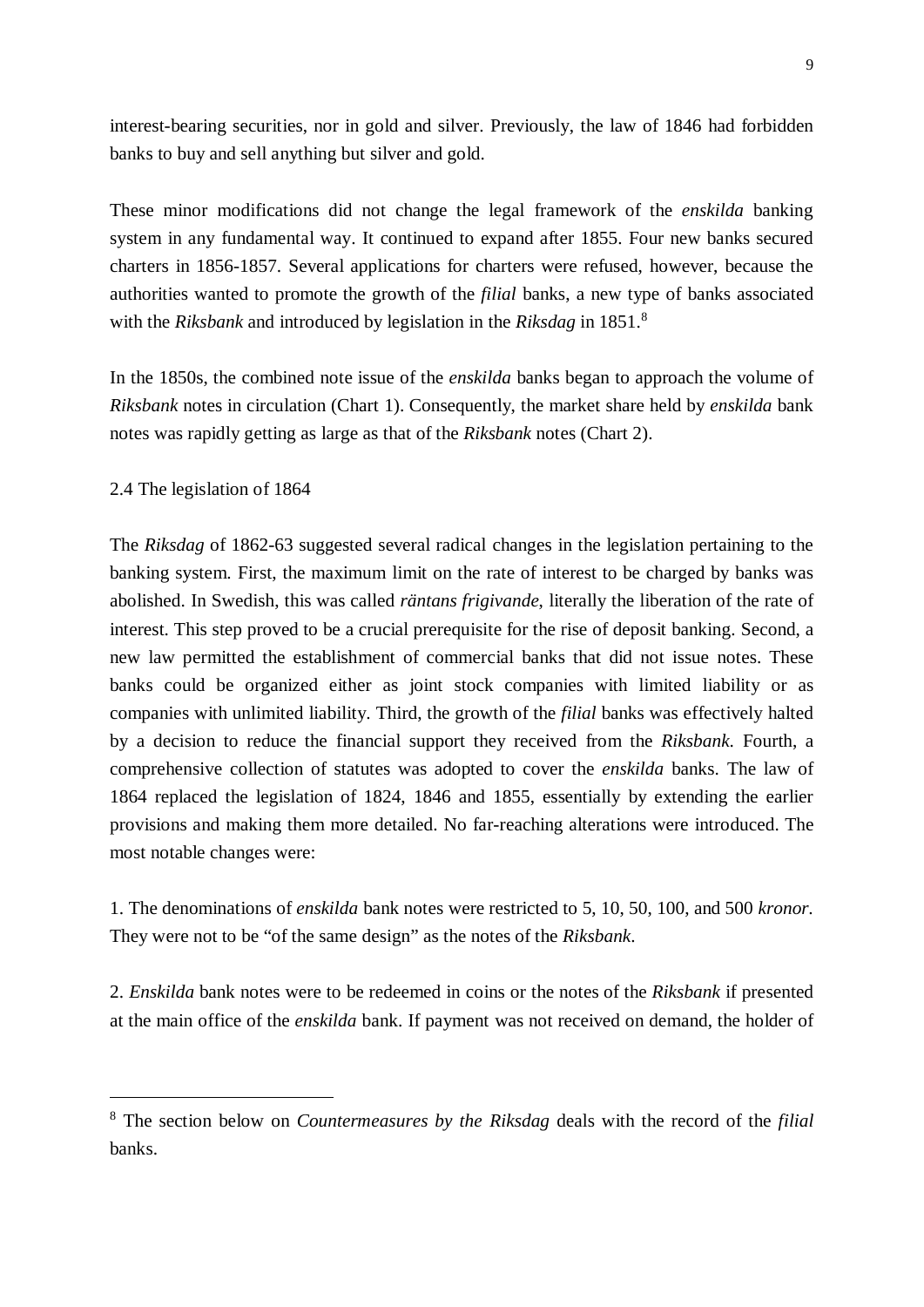interest-bearing securities, nor in gold and silver. Previously, the law of 1846 had forbidden banks to buy and sell anything but silver and gold.

These minor modifications did not change the legal framework of the *enskilda* banking system in any fundamental way. It continued to expand after 1855. Four new banks secured charters in 1856-1857. Several applications for charters were refused, however, because the authorities wanted to promote the growth of the *filial* banks, a new type of banks associated with the *Riksbank* and introduced by legislation in the *Riksdag* in 1851.<sup>8</sup>

In the 1850s, the combined note issue of the *enskilda* banks began to approach the volume of *Riksbank* notes in circulation (Chart 1). Consequently, the market share held by *enskilda* bank notes was rapidly getting as large as that of the *Riksbank* notes (Chart 2).

2.4 The legislation of 1864

The *Riksdag* of 1862-63 suggested several radical changes in the legislation pertaining to the banking system. First, the maximum limit on the rate of interest to be charged by banks was abolished. In Swedish, this was called *räntans frigivande*, literally the liberation of the rate of interest. This step proved to be a crucial prerequisite for the rise of deposit banking. Second, a new law permitted the establishment of commercial banks that did not issue notes. These banks could be organized either as joint stock companies with limited liability or as companies with unlimited liability. Third, the growth of the *filial* banks was effectively halted by a decision to reduce the financial support they received from the *Riksbank*. Fourth, a comprehensive collection of statutes was adopted to cover the *enskilda* banks. The law of 1864 replaced the legislation of 1824, 1846 and 1855, essentially by extending the earlier provisions and making them more detailed. No far-reaching alterations were introduced. The most notable changes were:

1. The denominations of *enskilda* bank notes were restricted to 5, 10, 50, 100, and 500 *kronor*. They were not to be "of the same design" as the notes of the *Riksbank*.

2. *Enskilda* bank notes were to be redeemed in coins or the notes of the *Riksbank* if presented at the main office of the *enskilda* bank. If payment was not received on demand, the holder of

<sup>8</sup> The section below on *Countermeasures by the Riksdag* deals with the record of the *filial* banks.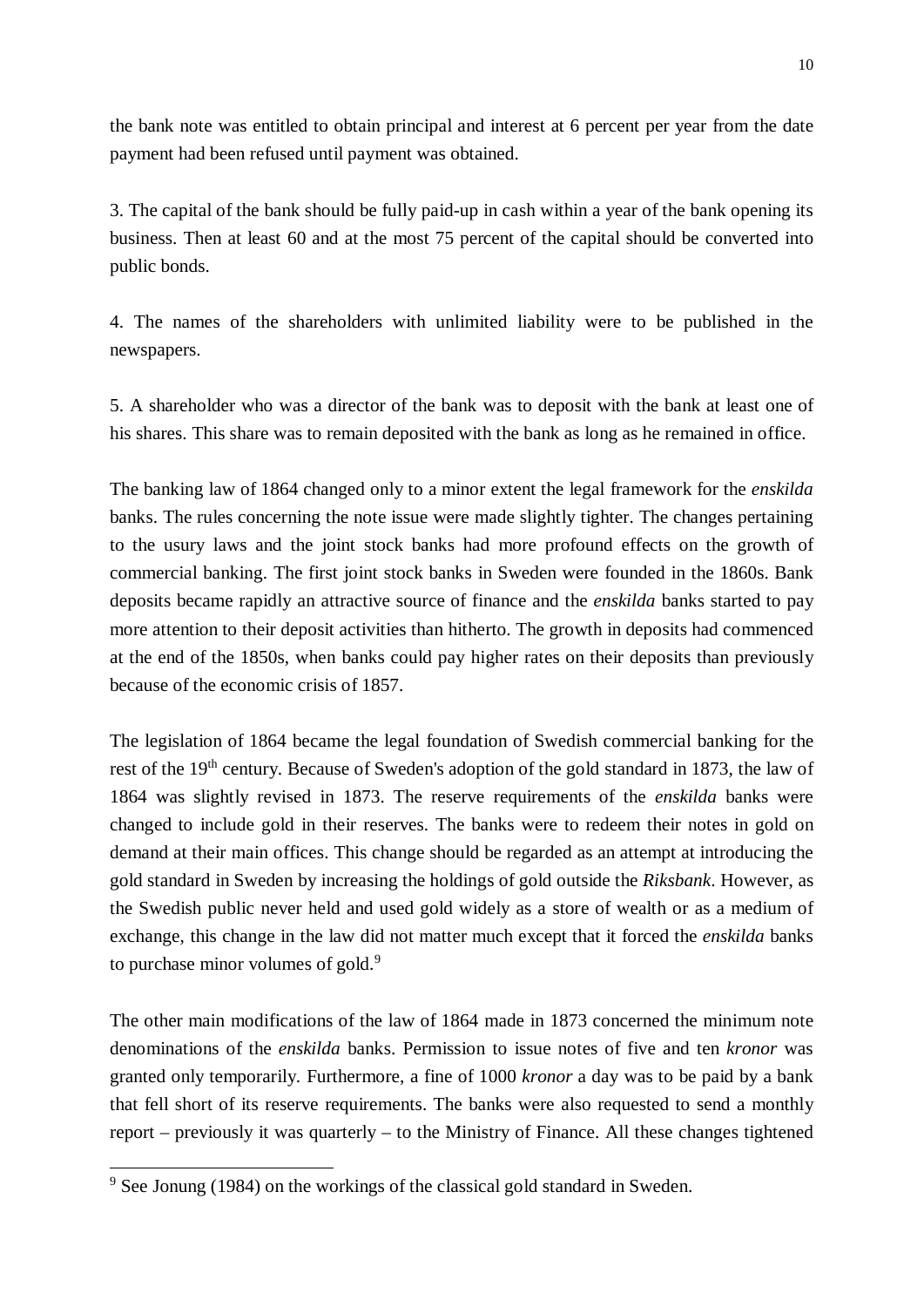the bank note was entitled to obtain principal and interest at 6 percent per year from the date payment had been refused until payment was obtained.

3. The capital of the bank should be fully paid-up in cash within a year of the bank opening its business. Then at least 60 and at the most 75 percent of the capital should be converted into public bonds.

4. The names of the shareholders with unlimited liability were to be published in the newspapers.

5. A shareholder who was a director of the bank was to deposit with the bank at least one of his shares. This share was to remain deposited with the bank as long as he remained in office.

The banking law of 1864 changed only to a minor extent the legal framework for the *enskilda* banks. The rules concerning the note issue were made slightly tighter. The changes pertaining to the usury laws and the joint stock banks had more profound effects on the growth of commercial banking. The first joint stock banks in Sweden were founded in the 1860s. Bank deposits became rapidly an attractive source of finance and the *enskilda* banks started to pay more attention to their deposit activities than hitherto. The growth in deposits had commenced at the end of the 1850s, when banks could pay higher rates on their deposits than previously because of the economic crisis of 1857.

The legislation of 1864 became the legal foundation of Swedish commercial banking for the rest of the 19<sup>th</sup> century. Because of Sweden's adoption of the gold standard in 1873, the law of 1864 was slightly revised in 1873. The reserve requirements of the *enskilda* banks were changed to include gold in their reserves. The banks were to redeem their notes in gold on demand at their main offices. This change should be regarded as an attempt at introducing the gold standard in Sweden by increasing the holdings of gold outside the *Riksbank*. However, as the Swedish public never held and used gold widely as a store of wealth or as a medium of exchange, this change in the law did not matter much except that it forced the *enskilda* banks to purchase minor volumes of gold.<sup>9</sup>

The other main modifications of the law of 1864 made in 1873 concerned the minimum note denominations of the *enskilda* banks. Permission to issue notes of five and ten *kronor* was granted only temporarily. Furthermore, a fine of 1000 *kronor* a day was to be paid by a bank that fell short of its reserve requirements. The banks were also requested to send a monthly report – previously it was quarterly – to the Ministry of Finance. All these changes tightened

<sup>&</sup>lt;sup>9</sup> See Jonung (1984) on the workings of the classical gold standard in Sweden.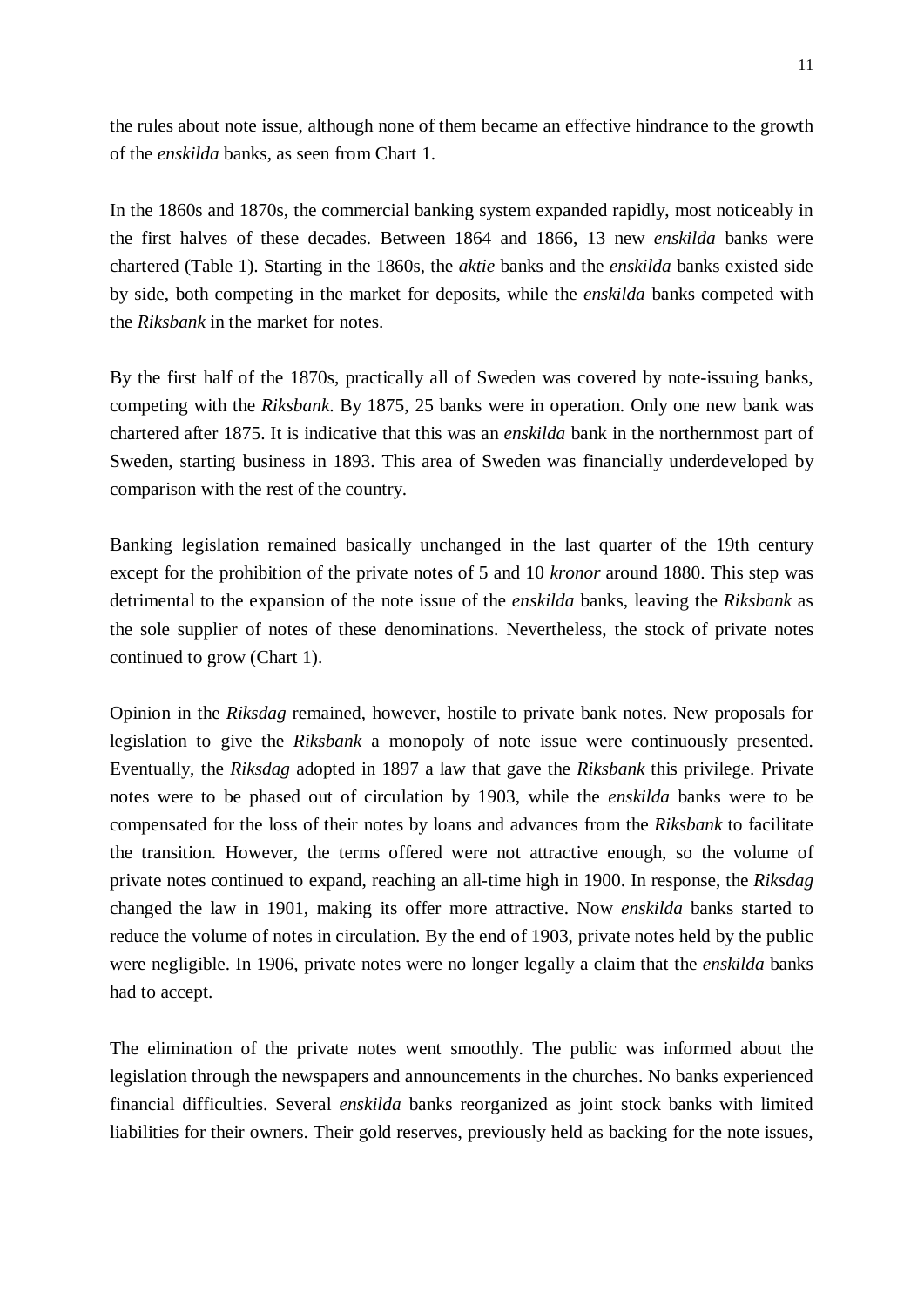the rules about note issue, although none of them became an effective hindrance to the growth of the *enskilda* banks, as seen from Chart 1.

In the 1860s and 1870s, the commercial banking system expanded rapidly, most noticeably in the first halves of these decades. Between 1864 and 1866, 13 new *enskilda* banks were chartered (Table 1). Starting in the 1860s, the *aktie* banks and the *enskilda* banks existed side by side, both competing in the market for deposits, while the *enskilda* banks competed with the *Riksbank* in the market for notes.

By the first half of the 1870s, practically all of Sweden was covered by note-issuing banks, competing with the *Riksbank*. By 1875, 25 banks were in operation. Only one new bank was chartered after 1875. It is indicative that this was an *enskilda* bank in the northernmost part of Sweden, starting business in 1893. This area of Sweden was financially underdeveloped by comparison with the rest of the country.

Banking legislation remained basically unchanged in the last quarter of the 19th century except for the prohibition of the private notes of 5 and 10 *kronor* around 1880. This step was detrimental to the expansion of the note issue of the *enskilda* banks, leaving the *Riksbank* as the sole supplier of notes of these denominations. Nevertheless, the stock of private notes continued to grow (Chart 1).

Opinion in the *Riksdag* remained, however, hostile to private bank notes. New proposals for legislation to give the *Riksbank* a monopoly of note issue were continuously presented. Eventually, the *Riksdag* adopted in 1897 a law that gave the *Riksbank* this privilege. Private notes were to be phased out of circulation by 1903, while the *enskilda* banks were to be compensated for the loss of their notes by loans and advances from the *Riksbank* to facilitate the transition. However, the terms offered were not attractive enough, so the volume of private notes continued to expand, reaching an all-time high in 1900. In response, the *Riksdag* changed the law in 1901, making its offer more attractive. Now *enskilda* banks started to reduce the volume of notes in circulation. By the end of 1903, private notes held by the public were negligible. In 1906, private notes were no longer legally a claim that the *enskilda* banks had to accept.

The elimination of the private notes went smoothly. The public was informed about the legislation through the newspapers and announcements in the churches. No banks experienced financial difficulties. Several *enskilda* banks reorganized as joint stock banks with limited liabilities for their owners. Their gold reserves, previously held as backing for the note issues,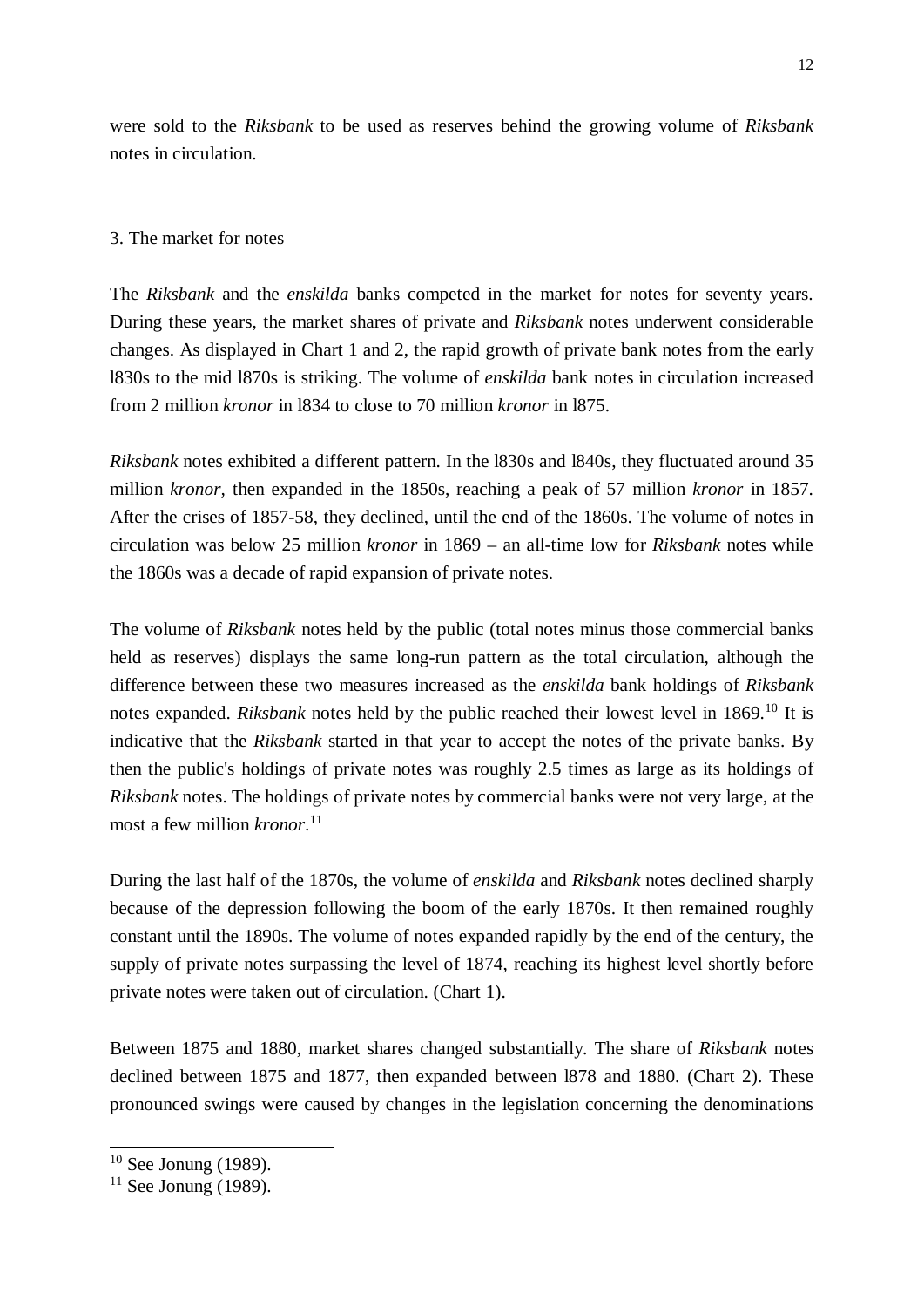were sold to the *Riksbank* to be used as reserves behind the growing volume of *Riksbank* notes in circulation.

## 3. The market for notes

The *Riksbank* and the *enskilda* banks competed in the market for notes for seventy years. During these years, the market shares of private and *Riksbank* notes underwent considerable changes. As displayed in Chart 1 and 2, the rapid growth of private bank notes from the early l830s to the mid l870s is striking. The volume of *enskilda* bank notes in circulation increased from 2 million *kronor* in l834 to close to 70 million *kronor* in l875.

*Riksbank* notes exhibited a different pattern. In the l830s and l840s, they fluctuated around 35 million *kronor,* then expanded in the 1850s, reaching a peak of 57 million *kronor* in 1857. After the crises of 1857-58, they declined, until the end of the 1860s. The volume of notes in circulation was below 25 million *kronor* in 1869 – an all-time low for *Riksbank* notes while the 1860s was a decade of rapid expansion of private notes.

The volume of *Riksbank* notes held by the public (total notes minus those commercial banks held as reserves) displays the same long-run pattern as the total circulation, although the difference between these two measures increased as the *enskilda* bank holdings of *Riksbank* notes expanded. *Riksbank* notes held by the public reached their lowest level in 1869.<sup>10</sup> It is indicative that the *Riksbank* started in that year to accept the notes of the private banks. By then the public's holdings of private notes was roughly 2.5 times as large as its holdings of *Riksbank* notes. The holdings of private notes by commercial banks were not very large, at the most a few million *kronor*. 11

During the last half of the 1870s, the volume of *enskilda* and *Riksbank* notes declined sharply because of the depression following the boom of the early 1870s. It then remained roughly constant until the 1890s. The volume of notes expanded rapidly by the end of the century, the supply of private notes surpassing the level of 1874, reaching its highest level shortly before private notes were taken out of circulation. (Chart 1).

Between 1875 and 1880, market shares changed substantially. The share of *Riksbank* notes declined between 1875 and 1877, then expanded between l878 and 1880. (Chart 2). These pronounced swings were caused by changes in the legislation concerning the denominations

 $10$  See Jonung (1989).

 $11$  See Jonung (1989).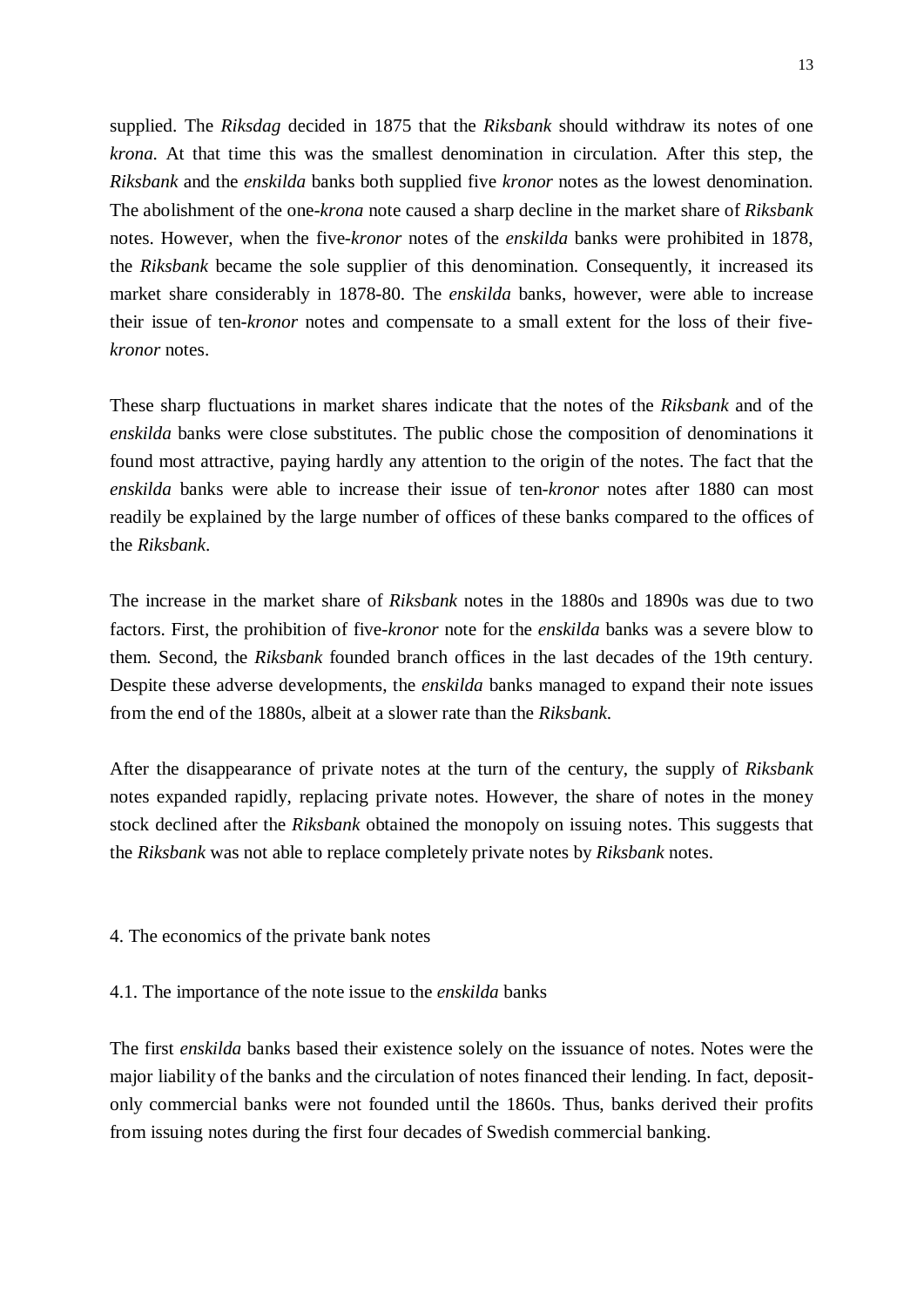supplied. The *Riksdag* decided in 1875 that the *Riksbank* should withdraw its notes of one *krona.* At that time this was the smallest denomination in circulation. After this step, the *Riksbank* and the *enskilda* banks both supplied five *kronor* notes as the lowest denomination. The abolishment of the one-*krona* note caused a sharp decline in the market share of *Riksbank* notes. However, when the five-*kronor* notes of the *enskilda* banks were prohibited in 1878, the *Riksbank* became the sole supplier of this denomination. Consequently, it increased its market share considerably in 1878-80. The *enskilda* banks, however, were able to increase their issue of ten-*kronor* notes and compensate to a small extent for the loss of their five*kronor* notes.

These sharp fluctuations in market shares indicate that the notes of the *Riksbank* and of the *enskilda* banks were close substitutes. The public chose the composition of denominations it found most attractive, paying hardly any attention to the origin of the notes. The fact that the *enskilda* banks were able to increase their issue of ten-*kronor* notes after 1880 can most readily be explained by the large number of offices of these banks compared to the offices of the *Riksbank*.

The increase in the market share of *Riksbank* notes in the 1880s and 1890s was due to two factors. First, the prohibition of five-*kronor* note for the *enskilda* banks was a severe blow to them. Second, the *Riksbank* founded branch offices in the last decades of the 19th century. Despite these adverse developments, the *enskilda* banks managed to expand their note issues from the end of the 1880s, albeit at a slower rate than the *Riksbank*.

After the disappearance of private notes at the turn of the century, the supply of *Riksbank* notes expanded rapidly, replacing private notes. However, the share of notes in the money stock declined after the *Riksbank* obtained the monopoly on issuing notes. This suggests that the *Riksbank* was not able to replace completely private notes by *Riksbank* notes.

4. The economics of the private bank notes

4.1. The importance of the note issue to the *enskilda* banks

The first *enskilda* banks based their existence solely on the issuance of notes. Notes were the major liability of the banks and the circulation of notes financed their lending. In fact, depositonly commercial banks were not founded until the 1860s. Thus, banks derived their profits from issuing notes during the first four decades of Swedish commercial banking.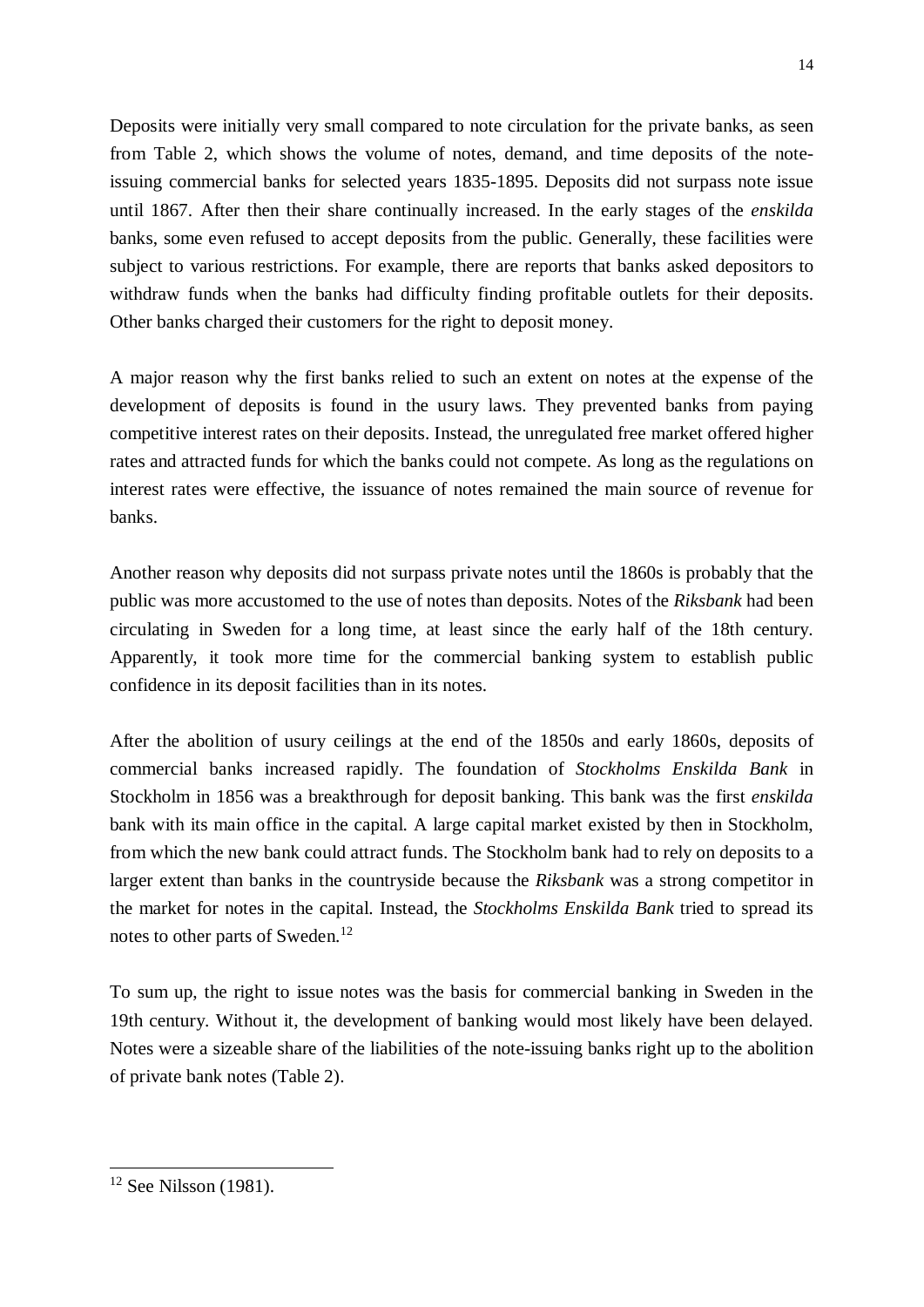Deposits were initially very small compared to note circulation for the private banks, as seen from Table 2, which shows the volume of notes, demand, and time deposits of the noteissuing commercial banks for selected years 1835-1895. Deposits did not surpass note issue until 1867. After then their share continually increased. In the early stages of the *enskilda* banks, some even refused to accept deposits from the public. Generally, these facilities were subject to various restrictions. For example, there are reports that banks asked depositors to withdraw funds when the banks had difficulty finding profitable outlets for their deposits. Other banks charged their customers for the right to deposit money.

A major reason why the first banks relied to such an extent on notes at the expense of the development of deposits is found in the usury laws. They prevented banks from paying competitive interest rates on their deposits. Instead, the unregulated free market offered higher rates and attracted funds for which the banks could not compete. As long as the regulations on interest rates were effective, the issuance of notes remained the main source of revenue for banks.

Another reason why deposits did not surpass private notes until the 1860s is probably that the public was more accustomed to the use of notes than deposits. Notes of the *Riksbank* had been circulating in Sweden for a long time, at least since the early half of the 18th century. Apparently, it took more time for the commercial banking system to establish public confidence in its deposit facilities than in its notes.

After the abolition of usury ceilings at the end of the 1850s and early 1860s, deposits of commercial banks increased rapidly. The foundation of *Stockholms Enskilda Bank* in Stockholm in 1856 was a breakthrough for deposit banking. This bank was the first *enskilda* bank with its main office in the capital. A large capital market existed by then in Stockholm, from which the new bank could attract funds. The Stockholm bank had to rely on deposits to a larger extent than banks in the countryside because the *Riksbank* was a strong competitor in the market for notes in the capital. Instead, the *Stockholms Enskilda Bank* tried to spread its notes to other parts of Sweden.<sup>12</sup>

To sum up, the right to issue notes was the basis for commercial banking in Sweden in the 19th century. Without it, the development of banking would most likely have been delayed. Notes were a sizeable share of the liabilities of the note-issuing banks right up to the abolition of private bank notes (Table 2).

 $12$  See Nilsson (1981).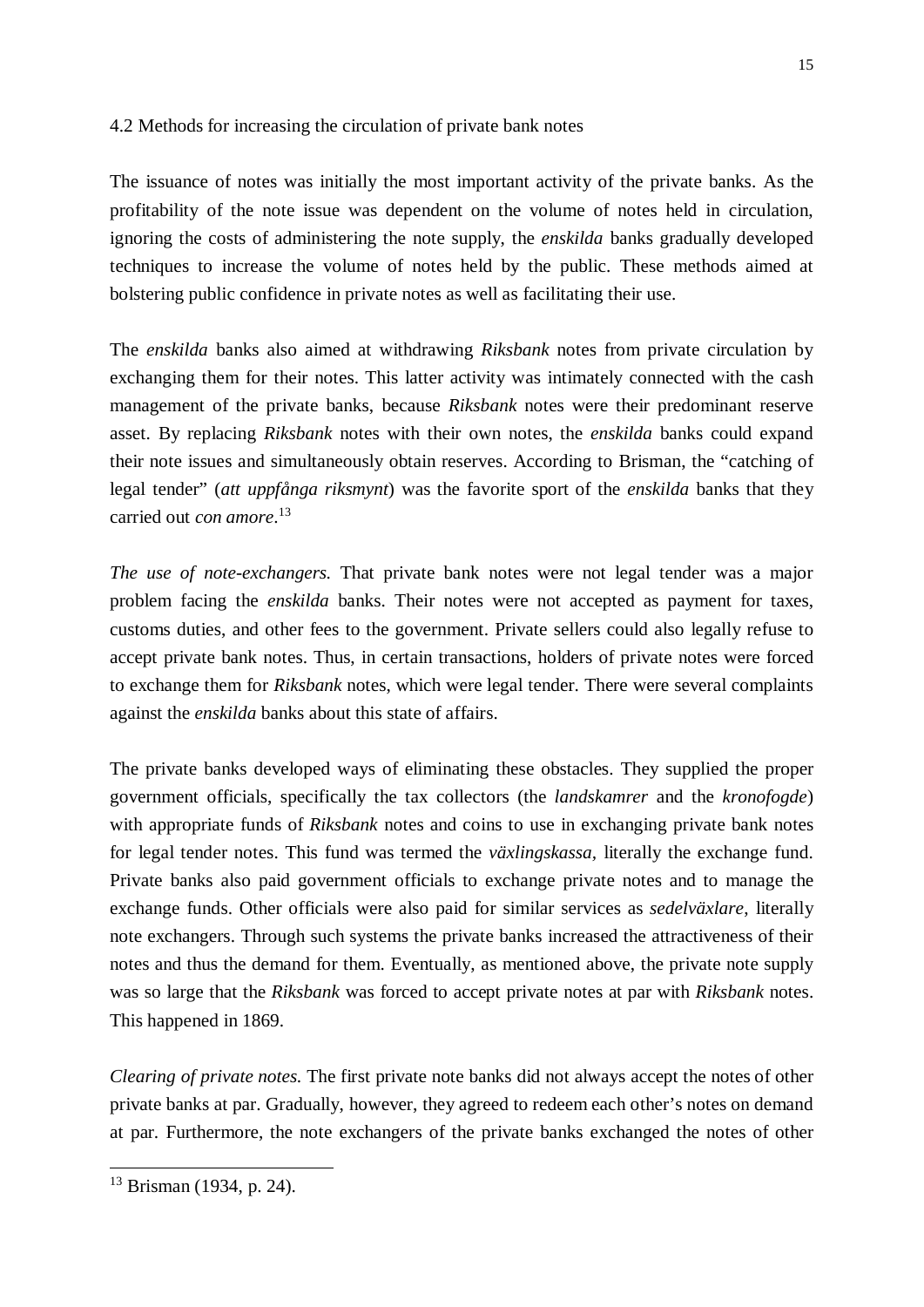#### 4.2 Methods for increasing the circulation of private bank notes

The issuance of notes was initially the most important activity of the private banks. As the profitability of the note issue was dependent on the volume of notes held in circulation, ignoring the costs of administering the note supply, the *enskilda* banks gradually developed techniques to increase the volume of notes held by the public. These methods aimed at bolstering public confidence in private notes as well as facilitating their use.

The *enskilda* banks also aimed at withdrawing *Riksbank* notes from private circulation by exchanging them for their notes. This latter activity was intimately connected with the cash management of the private banks, because *Riksbank* notes were their predominant reserve asset. By replacing *Riksbank* notes with their own notes, the *enskilda* banks could expand their note issues and simultaneously obtain reserves. According to Brisman, the "catching of legal tender" (*att uppfånga riksmynt*) was the favorite sport of the *enskilda* banks that they carried out *con amore*. 13

*The use of note-exchangers.* That private bank notes were not legal tender was a major problem facing the *enskilda* banks. Their notes were not accepted as payment for taxes, customs duties, and other fees to the government. Private sellers could also legally refuse to accept private bank notes. Thus, in certain transactions, holders of private notes were forced to exchange them for *Riksbank* notes, which were legal tender. There were several complaints against the *enskilda* banks about this state of affairs.

The private banks developed ways of eliminating these obstacles. They supplied the proper government officials, specifically the tax collectors (the *landskamrer* and the *kronofogde*) with appropriate funds of *Riksbank* notes and coins to use in exchanging private bank notes for legal tender notes. This fund was termed the *växlingskassa,* literally the exchange fund. Private banks also paid government officials to exchange private notes and to manage the exchange funds. Other officials were also paid for similar services as *sedelväxlare*, literally note exchangers. Through such systems the private banks increased the attractiveness of their notes and thus the demand for them. Eventually, as mentioned above, the private note supply was so large that the *Riksbank* was forced to accept private notes at par with *Riksbank* notes. This happened in 1869.

*Clearing of private notes.* The first private note banks did not always accept the notes of other private banks at par. Gradually, however, they agreed to redeem each other's notes on demand at par. Furthermore, the note exchangers of the private banks exchanged the notes of other

<sup>13</sup> Brisman (1934, p. 24).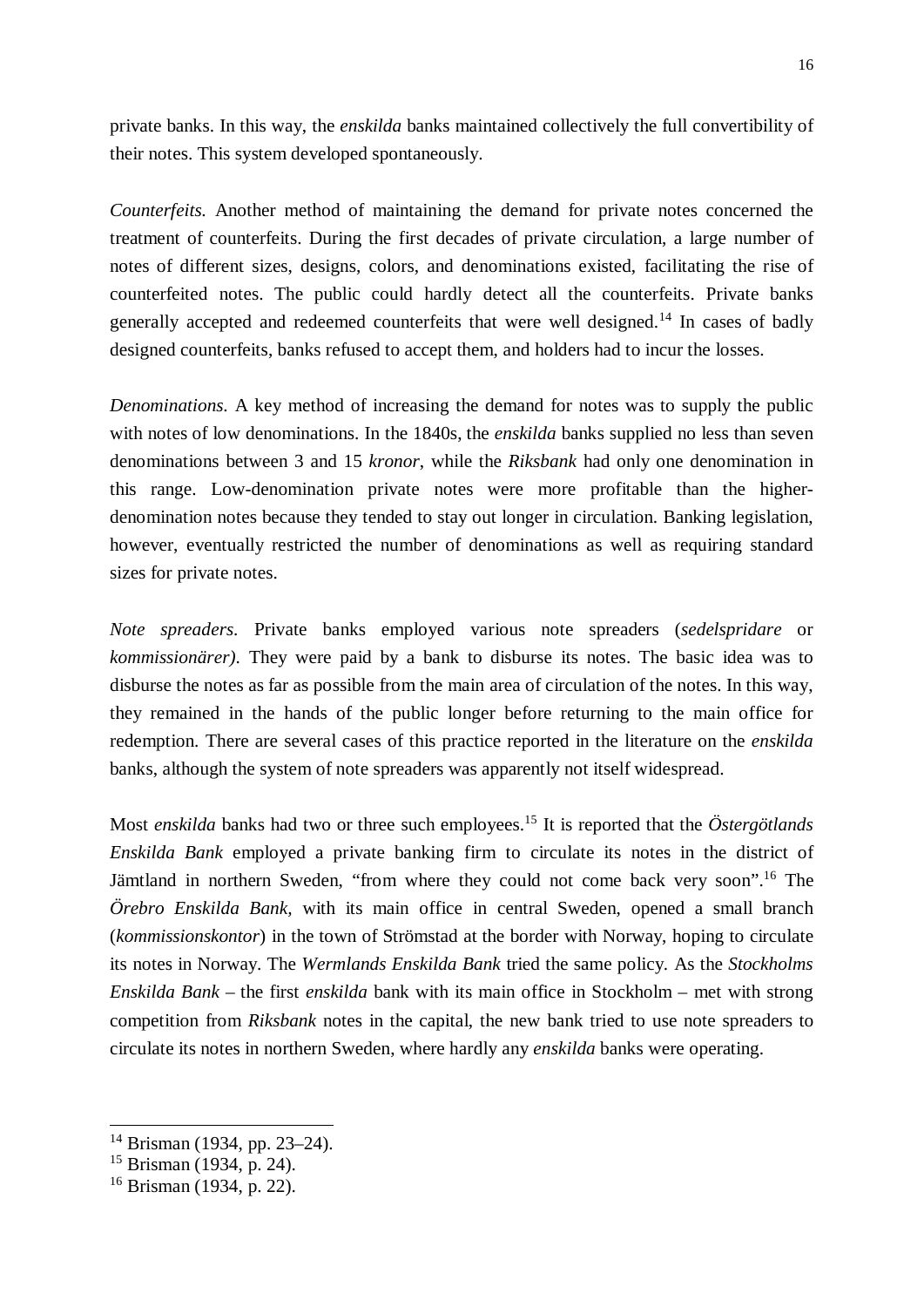private banks. In this way, the *enskilda* banks maintained collectively the full convertibility of their notes. This system developed spontaneously.

*Counterfeits.* Another method of maintaining the demand for private notes concerned the treatment of counterfeits. During the first decades of private circulation, a large number of notes of different sizes, designs, colors, and denominations existed, facilitating the rise of counterfeited notes. The public could hardly detect all the counterfeits. Private banks generally accepted and redeemed counterfeits that were well designed.<sup>14</sup> In cases of badly designed counterfeits, banks refused to accept them, and holders had to incur the losses.

*Denominations.* A key method of increasing the demand for notes was to supply the public with notes of low denominations. In the 1840s, the *enskilda* banks supplied no less than seven denominations between 3 and 15 *kronor*, while the *Riksbank* had only one denomination in this range. Low-denomination private notes were more profitable than the higherdenomination notes because they tended to stay out longer in circulation. Banking legislation, however, eventually restricted the number of denominations as well as requiring standard sizes for private notes.

*Note spreaders.* Private banks employed various note spreaders (*sedelspridare* or *kommissionärer)*. They were paid by a bank to disburse its notes. The basic idea was to disburse the notes as far as possible from the main area of circulation of the notes. In this way, they remained in the hands of the public longer before returning to the main office for redemption. There are several cases of this practice reported in the literature on the *enskilda* banks, although the system of note spreaders was apparently not itself widespread.

Most *enskilda* banks had two or three such employees.<sup>15</sup> It is reported that the *Östergötlands Enskilda Bank* employed a private banking firm to circulate its notes in the district of Jämtland in northern Sweden, "from where they could not come back very soon".<sup>16</sup> The *Örebro Enskilda Bank,* with its main office in central Sweden, opened a small branch (*kommissionskontor*) in the town of Strömstad at the border with Norway, hoping to circulate its notes in Norway. The *Wermlands Enskilda Bank* tried the same policy. As the *Stockholms Enskilda Bank* – the first *enskilda* bank with its main office in Stockholm – met with strong competition from *Riksbank* notes in the capital, the new bank tried to use note spreaders to circulate its notes in northern Sweden, where hardly any *enskilda* banks were operating.

<sup>14</sup> Brisman (1934, pp. 23–24).

<sup>15</sup> Brisman (1934, p. 24).

<sup>16</sup> Brisman (1934, p. 22).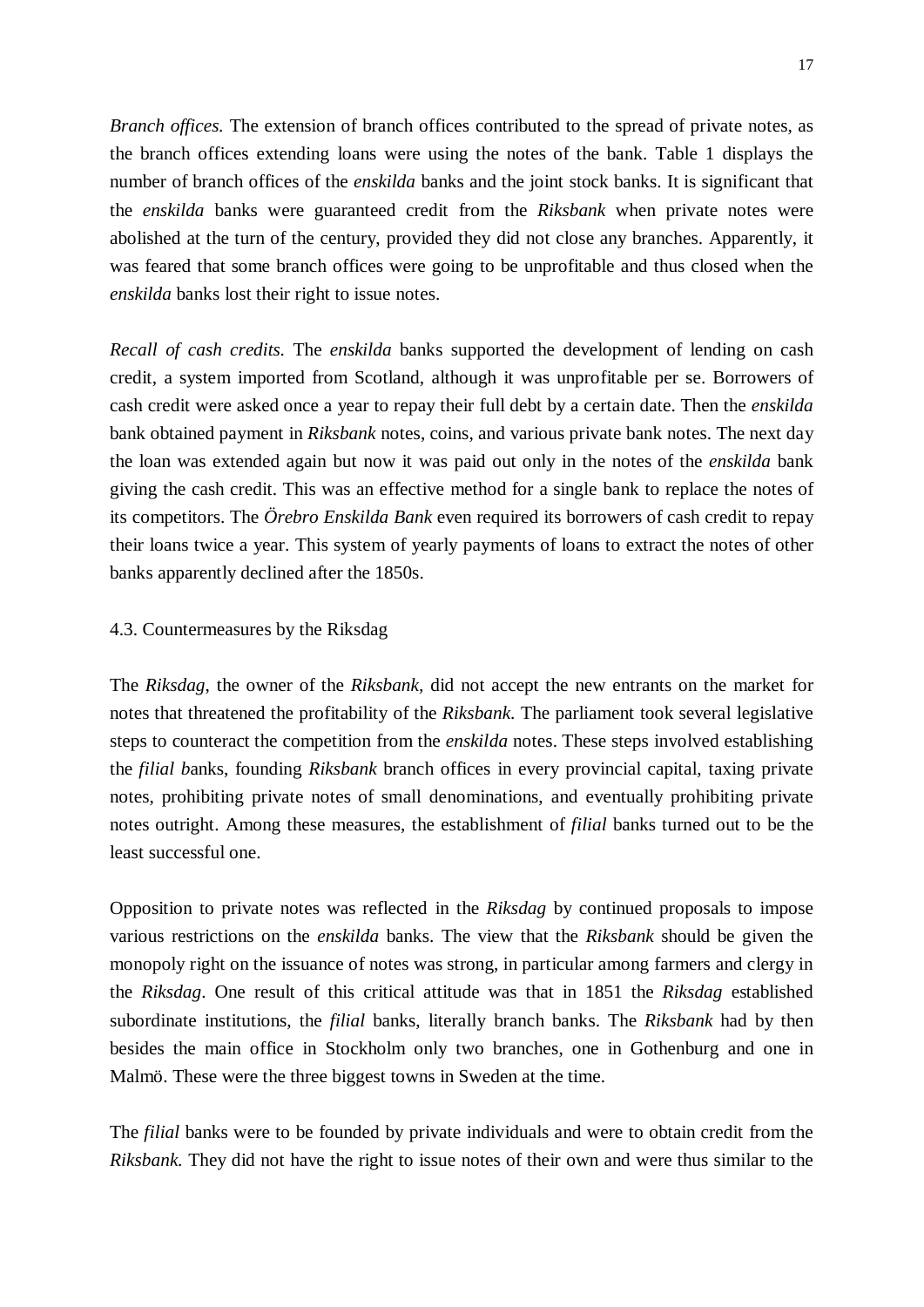*Branch offices.* The extension of branch offices contributed to the spread of private notes, as the branch offices extending loans were using the notes of the bank. Table 1 displays the number of branch offices of the *enskilda* banks and the joint stock banks. It is significant that the *enskilda* banks were guaranteed credit from the *Riksbank* when private notes were abolished at the turn of the century, provided they did not close any branches. Apparently, it was feared that some branch offices were going to be unprofitable and thus closed when the *enskilda* banks lost their right to issue notes.

*Recall of cash credits.* The *enskilda* banks supported the development of lending on cash credit, a system imported from Scotland, although it was unprofitable per se. Borrowers of cash credit were asked once a year to repay their full debt by a certain date. Then the *enskilda* bank obtained payment in *Riksbank* notes, coins, and various private bank notes. The next day the loan was extended again but now it was paid out only in the notes of the *enskilda* bank giving the cash credit. This was an effective method for a single bank to replace the notes of its competitors. The *Örebro Enskilda Bank* even required its borrowers of cash credit to repay their loans twice a year. This system of yearly payments of loans to extract the notes of other banks apparently declined after the 1850s.

## 4.3. Countermeasures by the Riksdag

The *Riksdag*, the owner of the *Riksbank,* did not accept the new entrants on the market for notes that threatened the profitability of the *Riksbank*. The parliament took several legislative steps to counteract the competition from the *enskilda* notes. These steps involved establishing the *filial b*anks, founding *Riksbank* branch offices in every provincial capital, taxing private notes, prohibiting private notes of small denominations, and eventually prohibiting private notes outright. Among these measures, the establishment of *filial* banks turned out to be the least successful one.

Opposition to private notes was reflected in the *Riksdag* by continued proposals to impose various restrictions on the *enskilda* banks. The view that the *Riksbank* should be given the monopoly right on the issuance of notes was strong, in particular among farmers and clergy in the *Riksdag*. One result of this critical attitude was that in 1851 the *Riksdag* established subordinate institutions, the *filial* banks, literally branch banks. The *Riksbank* had by then besides the main office in Stockholm only two branches, one in Gothenburg and one in Malmö. These were the three biggest towns in Sweden at the time.

The *filial* banks were to be founded by private individuals and were to obtain credit from the *Riksbank.* They did not have the right to issue notes of their own and were thus similar to the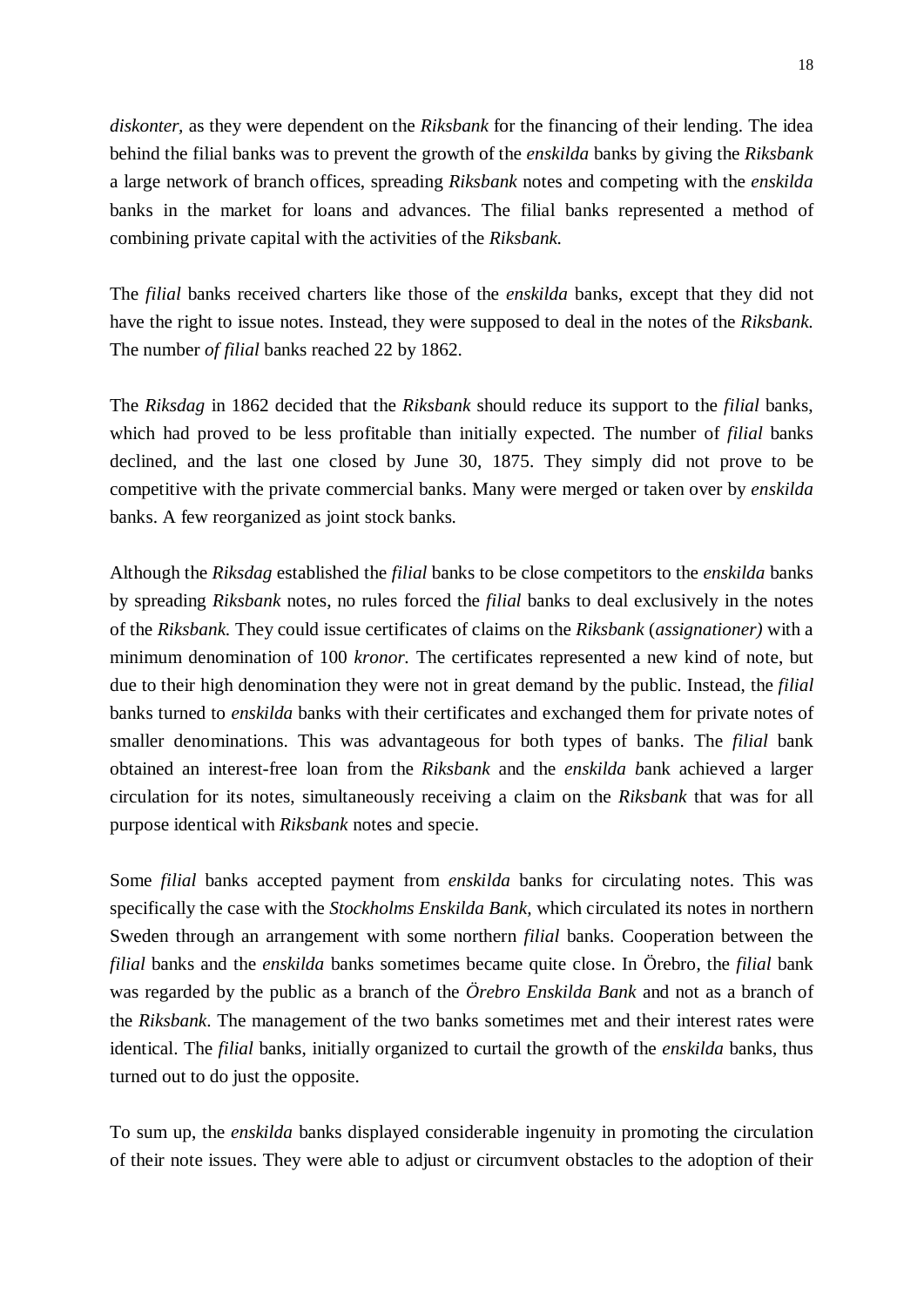*diskonter,* as they were dependent on the *Riksbank* for the financing of their lending. The idea behind the filial banks was to prevent the growth of the *enskilda* banks by giving the *Riksbank* a large network of branch offices, spreading *Riksbank* notes and competing with the *enskilda* banks in the market for loans and advances. The filial banks represented a method of combining private capital with the activities of the *Riksbank.*

The *filial* banks received charters like those of the *enskilda* banks, except that they did not have the right to issue notes. Instead, they were supposed to deal in the notes of the *Riksbank.* The number *of filial* banks reached 22 by 1862.

The *Riksdag* in 1862 decided that the *Riksbank* should reduce its support to the *filial* banks, which had proved to be less profitable than initially expected. The number of *filial* banks declined, and the last one closed by June 30, 1875. They simply did not prove to be competitive with the private commercial banks. Many were merged or taken over by *enskilda* banks. A few reorganized as joint stock banks.

Although the *Riksdag* established the *filial* banks to be close competitors to the *enskilda* banks by spreading *Riksbank* notes, no rules forced the *filial* banks to deal exclusively in the notes of the *Riksbank.* They could issue certificates of claims on the *Riksbank* (*assignationer)* with a minimum denomination of 100 *kronor.* The certificates represented a new kind of note, but due to their high denomination they were not in great demand by the public. Instead, the *filial* banks turned to *enskilda* banks with their certificates and exchanged them for private notes of smaller denominations. This was advantageous for both types of banks. The *filial* bank obtained an interest-free loan from the *Riksbank* and the *enskilda b*ank achieved a larger circulation for its notes, simultaneously receiving a claim on the *Riksbank* that was for all purpose identical with *Riksbank* notes and specie.

Some *filial* banks accepted payment from *enskilda* banks for circulating notes. This was specifically the case with the *Stockholms Enskilda Bank,* which circulated its notes in northern Sweden through an arrangement with some northern *filial* banks. Cooperation between the *filial* banks and the *enskilda* banks sometimes became quite close. In Örebro, the *filial* bank was regarded by the public as a branch of the *Örebro Enskilda Bank* and not as a branch of the *Riksbank*. The management of the two banks sometimes met and their interest rates were identical. The *filial* banks, initially organized to curtail the growth of the *enskilda* banks, thus turned out to do just the opposite.

To sum up, the *enskilda* banks displayed considerable ingenuity in promoting the circulation of their note issues. They were able to adjust or circumvent obstacles to the adoption of their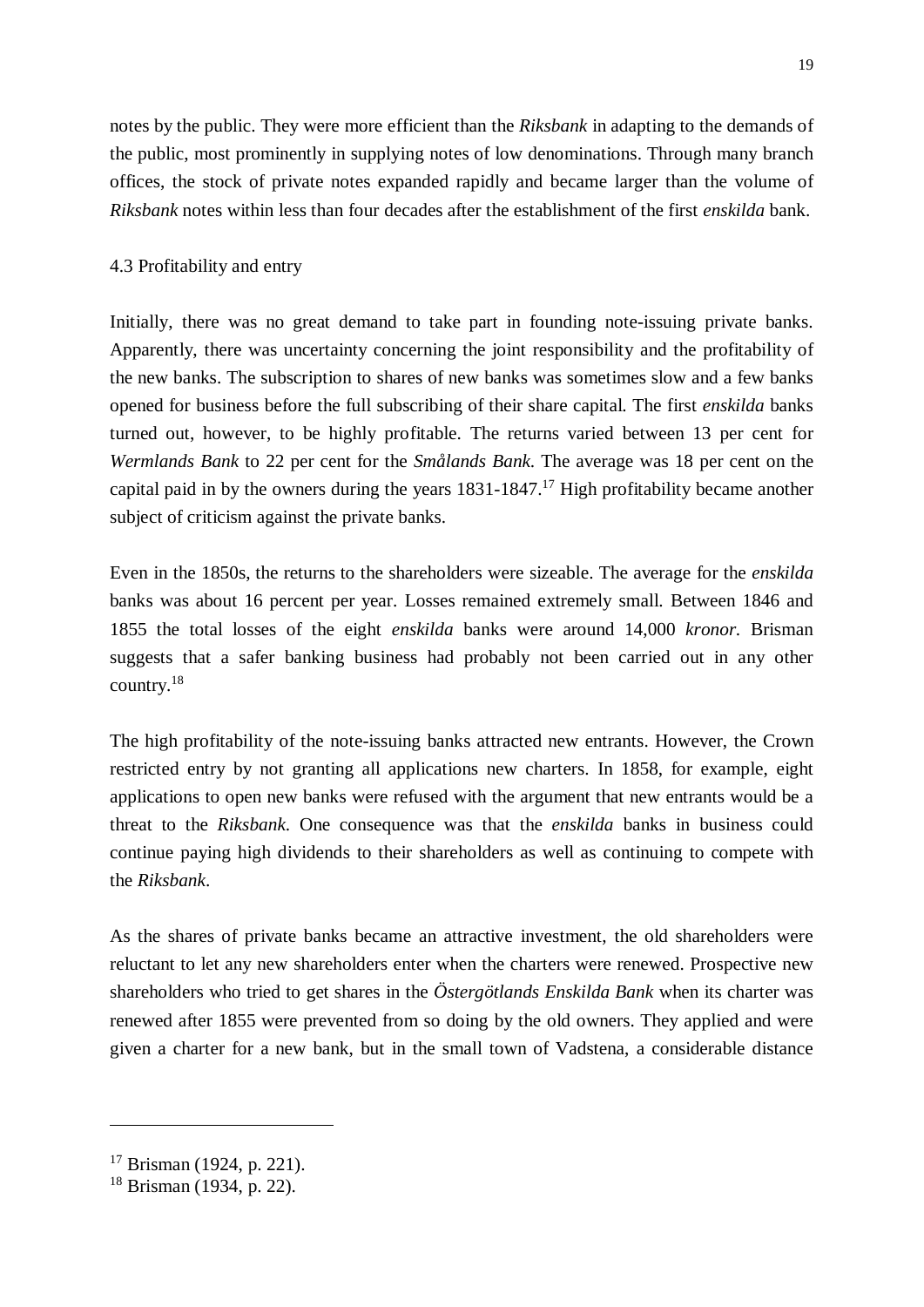notes by the public. They were more efficient than the *Riksbank* in adapting to the demands of the public, most prominently in supplying notes of low denominations. Through many branch offices, the stock of private notes expanded rapidly and became larger than the volume of *Riksbank* notes within less than four decades after the establishment of the first *enskilda* bank.

## 4.3 Profitability and entry

Initially, there was no great demand to take part in founding note-issuing private banks. Apparently, there was uncertainty concerning the joint responsibility and the profitability of the new banks. The subscription to shares of new banks was sometimes slow and a few banks opened for business before the full subscribing of their share capital. The first *enskilda* banks turned out, however, to be highly profitable. The returns varied between 13 per cent for *Wermlands Bank* to 22 per cent for the *Smålands Bank*. The average was 18 per cent on the capital paid in by the owners during the years  $1831-1847$ .<sup>17</sup> High profitability became another subject of criticism against the private banks.

Even in the 1850s, the returns to the shareholders were sizeable. The average for the *enskilda* banks was about 16 percent per year. Losses remained extremely small. Between 1846 and 1855 the total losses of the eight *enskilda* banks were around 14,000 *kronor*. Brisman suggests that a safer banking business had probably not been carried out in any other country.<sup>18</sup>

The high profitability of the note-issuing banks attracted new entrants. However, the Crown restricted entry by not granting all applications new charters. In 1858, for example, eight applications to open new banks were refused with the argument that new entrants would be a threat to the *Riksbank*. One consequence was that the *enskilda* banks in business could continue paying high dividends to their shareholders as well as continuing to compete with the *Riksbank*.

As the shares of private banks became an attractive investment, the old shareholders were reluctant to let any new shareholders enter when the charters were renewed. Prospective new shareholders who tried to get shares in the *Östergötlands Enskilda Bank* when its charter was renewed after 1855 were prevented from so doing by the old owners. They applied and were given a charter for a new bank, but in the small town of Vadstena, a considerable distance

 $17$  Brisman (1924, p. 221).

 $18$  Brisman (1934, p. 22).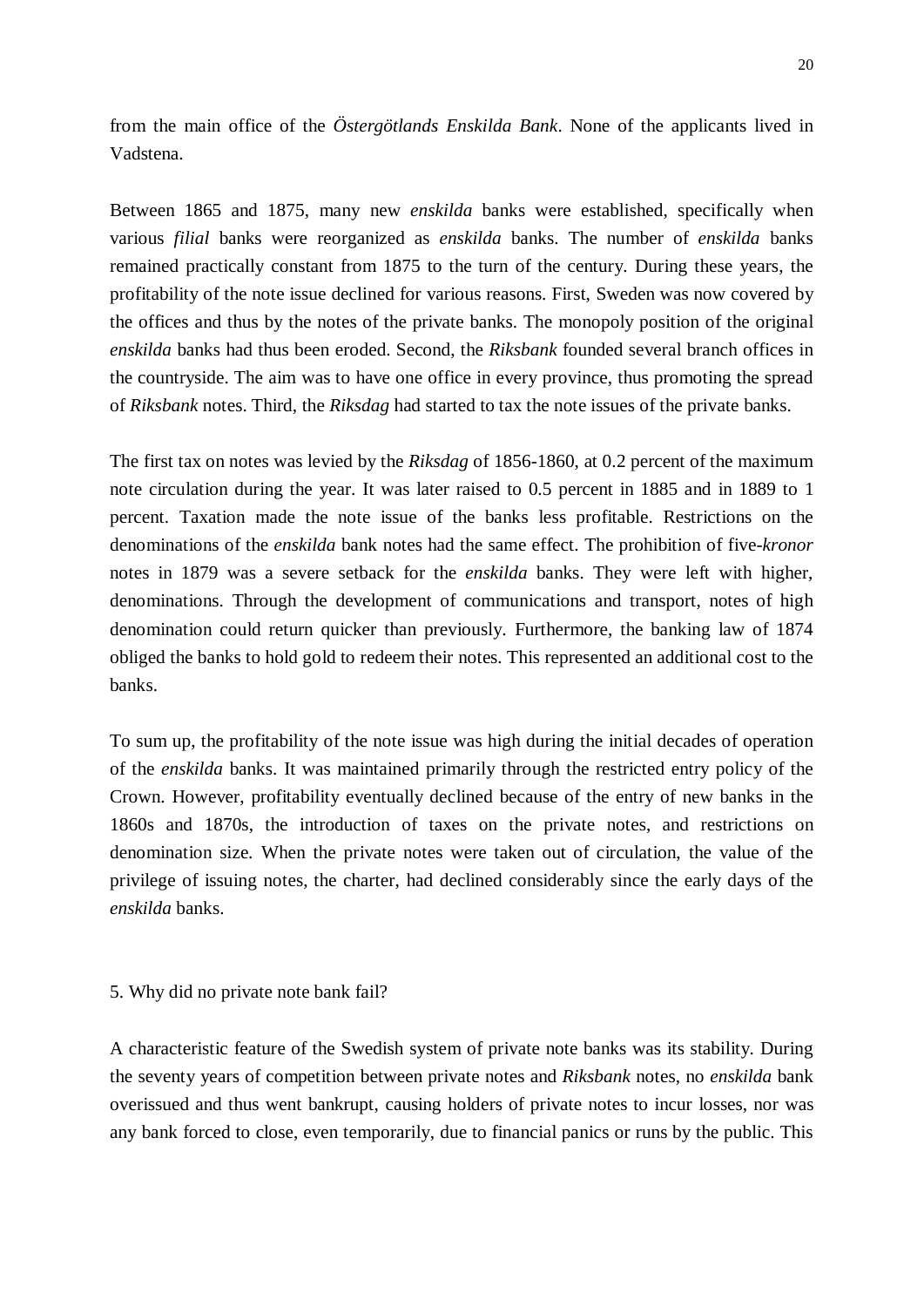from the main office of the *Östergötlands Enskilda Bank*. None of the applicants lived in Vadstena.

Between 1865 and 1875, many new *enskilda* banks were established, specifically when various *filial* banks were reorganized as *enskilda* banks. The number of *enskilda* banks remained practically constant from 1875 to the turn of the century. During these years, the profitability of the note issue declined for various reasons. First, Sweden was now covered by the offices and thus by the notes of the private banks. The monopoly position of the original *enskilda* banks had thus been eroded. Second, the *Riksbank* founded several branch offices in the countryside. The aim was to have one office in every province, thus promoting the spread of *Riksbank* notes. Third, the *Riksdag* had started to tax the note issues of the private banks.

The first tax on notes was levied by the *Riksdag* of 1856-1860, at 0.2 percent of the maximum note circulation during the year. It was later raised to 0.5 percent in 1885 and in 1889 to 1 percent. Taxation made the note issue of the banks less profitable. Restrictions on the denominations of the *enskilda* bank notes had the same effect. The prohibition of five-*kronor* notes in 1879 was a severe setback for the *enskilda* banks. They were left with higher, denominations. Through the development of communications and transport, notes of high denomination could return quicker than previously. Furthermore, the banking law of 1874 obliged the banks to hold gold to redeem their notes. This represented an additional cost to the banks.

To sum up, the profitability of the note issue was high during the initial decades of operation of the *enskilda* banks. It was maintained primarily through the restricted entry policy of the Crown. However, profitability eventually declined because of the entry of new banks in the 1860s and 1870s, the introduction of taxes on the private notes, and restrictions on denomination size. When the private notes were taken out of circulation, the value of the privilege of issuing notes, the charter, had declined considerably since the early days of the *enskilda* banks.

#### 5. Why did no private note bank fail?

A characteristic feature of the Swedish system of private note banks was its stability. During the seventy years of competition between private notes and *Riksbank* notes, no *enskilda* bank overissued and thus went bankrupt, causing holders of private notes to incur losses, nor was any bank forced to close, even temporarily, due to financial panics or runs by the public. This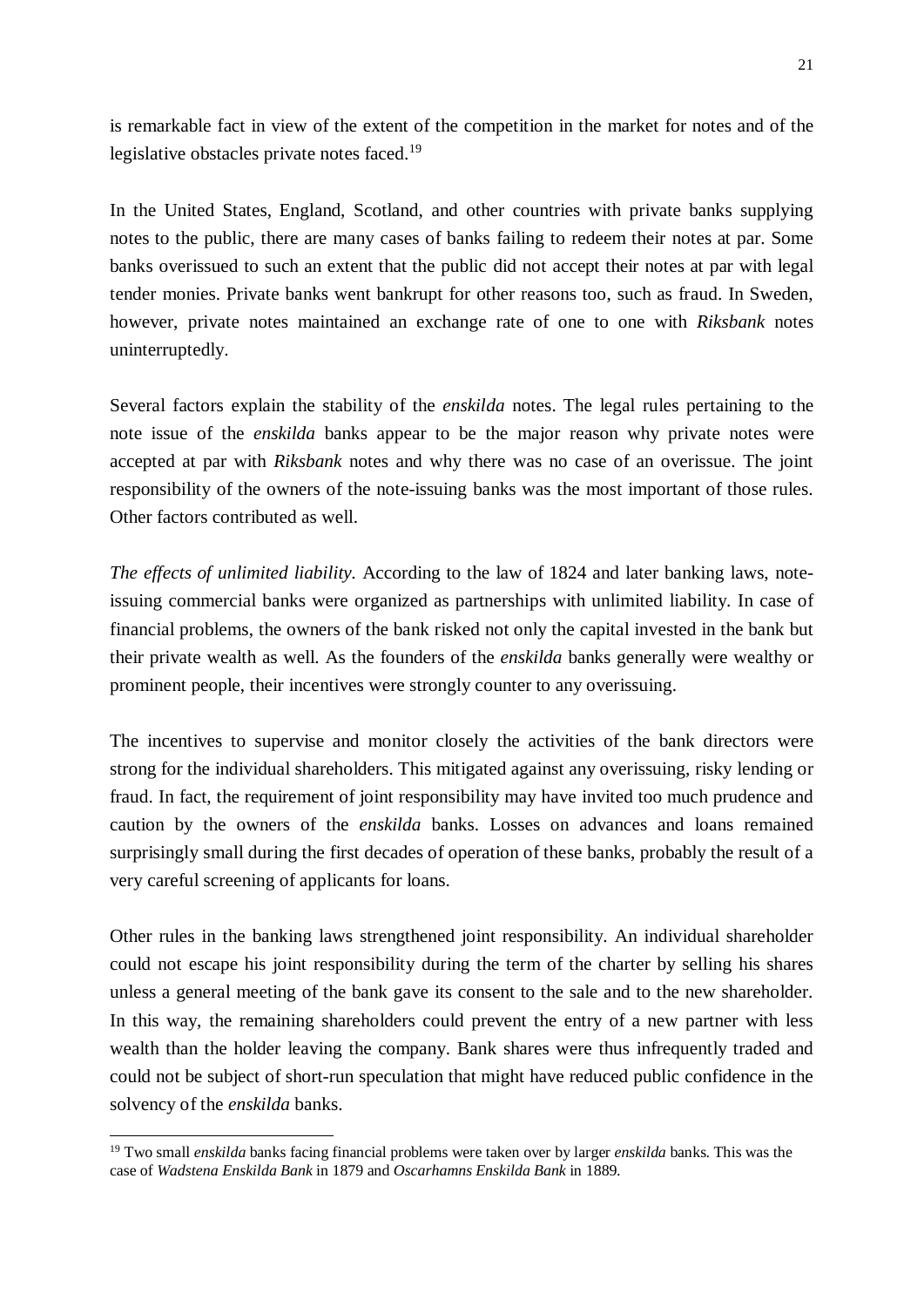is remarkable fact in view of the extent of the competition in the market for notes and of the legislative obstacles private notes faced.<sup>19</sup>

In the United States, England, Scotland, and other countries with private banks supplying notes to the public, there are many cases of banks failing to redeem their notes at par. Some banks overissued to such an extent that the public did not accept their notes at par with legal tender monies. Private banks went bankrupt for other reasons too, such as fraud. In Sweden, however, private notes maintained an exchange rate of one to one with *Riksbank* notes uninterruptedly.

Several factors explain the stability of the *enskilda* notes. The legal rules pertaining to the note issue of the *enskilda* banks appear to be the major reason why private notes were accepted at par with *Riksbank* notes and why there was no case of an overissue. The joint responsibility of the owners of the note-issuing banks was the most important of those rules. Other factors contributed as well.

*The effects of unlimited liability.* According to the law of 1824 and later banking laws, noteissuing commercial banks were organized as partnerships with unlimited liability. In case of financial problems, the owners of the bank risked not only the capital invested in the bank but their private wealth as well. As the founders of the *enskilda* banks generally were wealthy or prominent people, their incentives were strongly counter to any overissuing.

The incentives to supervise and monitor closely the activities of the bank directors were strong for the individual shareholders. This mitigated against any overissuing, risky lending or fraud. In fact, the requirement of joint responsibility may have invited too much prudence and caution by the owners of the *enskilda* banks. Losses on advances and loans remained surprisingly small during the first decades of operation of these banks, probably the result of a very careful screening of applicants for loans.

Other rules in the banking laws strengthened joint responsibility. An individual shareholder could not escape his joint responsibility during the term of the charter by selling his shares unless a general meeting of the bank gave its consent to the sale and to the new shareholder. In this way, the remaining shareholders could prevent the entry of a new partner with less wealth than the holder leaving the company. Bank shares were thus infrequently traded and could not be subject of short-run speculation that might have reduced public confidence in the solvency of the *enskilda* banks.

<sup>19</sup> Two small *enskilda* banks facing financial problems were taken over by larger *enskilda* banks. This was the case of *Wadstena Enskilda Bank* in 1879 and *Oscarhamns Enskilda Bank* in 1889.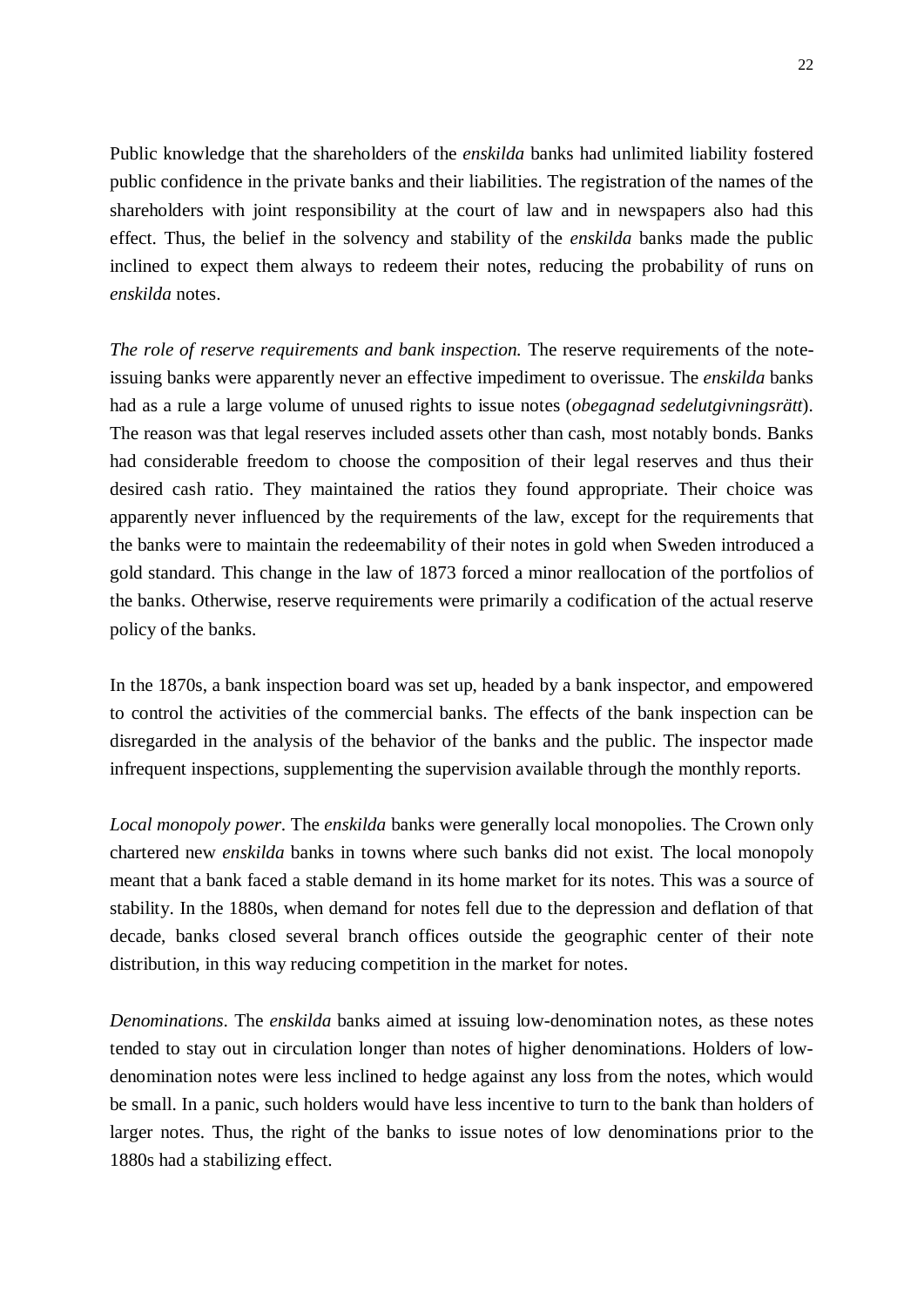Public knowledge that the shareholders of the *enskilda* banks had unlimited liability fostered public confidence in the private banks and their liabilities. The registration of the names of the shareholders with joint responsibility at the court of law and in newspapers also had this effect. Thus, the belief in the solvency and stability of the *enskilda* banks made the public inclined to expect them always to redeem their notes, reducing the probability of runs on *enskilda* notes.

*The role of reserve requirements and bank inspection.* The reserve requirements of the noteissuing banks were apparently never an effective impediment to overissue. The *enskilda* banks had as a rule a large volume of unused rights to issue notes (*obegagnad sedelutgivningsrätt*). The reason was that legal reserves included assets other than cash, most notably bonds. Banks had considerable freedom to choose the composition of their legal reserves and thus their desired cash ratio. They maintained the ratios they found appropriate. Their choice was apparently never influenced by the requirements of the law, except for the requirements that the banks were to maintain the redeemability of their notes in gold when Sweden introduced a gold standard. This change in the law of 1873 forced a minor reallocation of the portfolios of the banks. Otherwise, reserve requirements were primarily a codification of the actual reserve policy of the banks.

In the 1870s, a bank inspection board was set up, headed by a bank inspector, and empowered to control the activities of the commercial banks. The effects of the bank inspection can be disregarded in the analysis of the behavior of the banks and the public. The inspector made infrequent inspections, supplementing the supervision available through the monthly reports.

*Local monopoly power*. The *enskilda* banks were generally local monopolies. The Crown only chartered new *enskilda* banks in towns where such banks did not exist. The local monopoly meant that a bank faced a stable demand in its home market for its notes. This was a source of stability. In the 1880s, when demand for notes fell due to the depression and deflation of that decade, banks closed several branch offices outside the geographic center of their note distribution, in this way reducing competition in the market for notes.

*Denominations*. The *enskilda* banks aimed at issuing low-denomination notes, as these notes tended to stay out in circulation longer than notes of higher denominations. Holders of lowdenomination notes were less inclined to hedge against any loss from the notes, which would be small. In a panic, such holders would have less incentive to turn to the bank than holders of larger notes. Thus, the right of the banks to issue notes of low denominations prior to the 1880s had a stabilizing effect.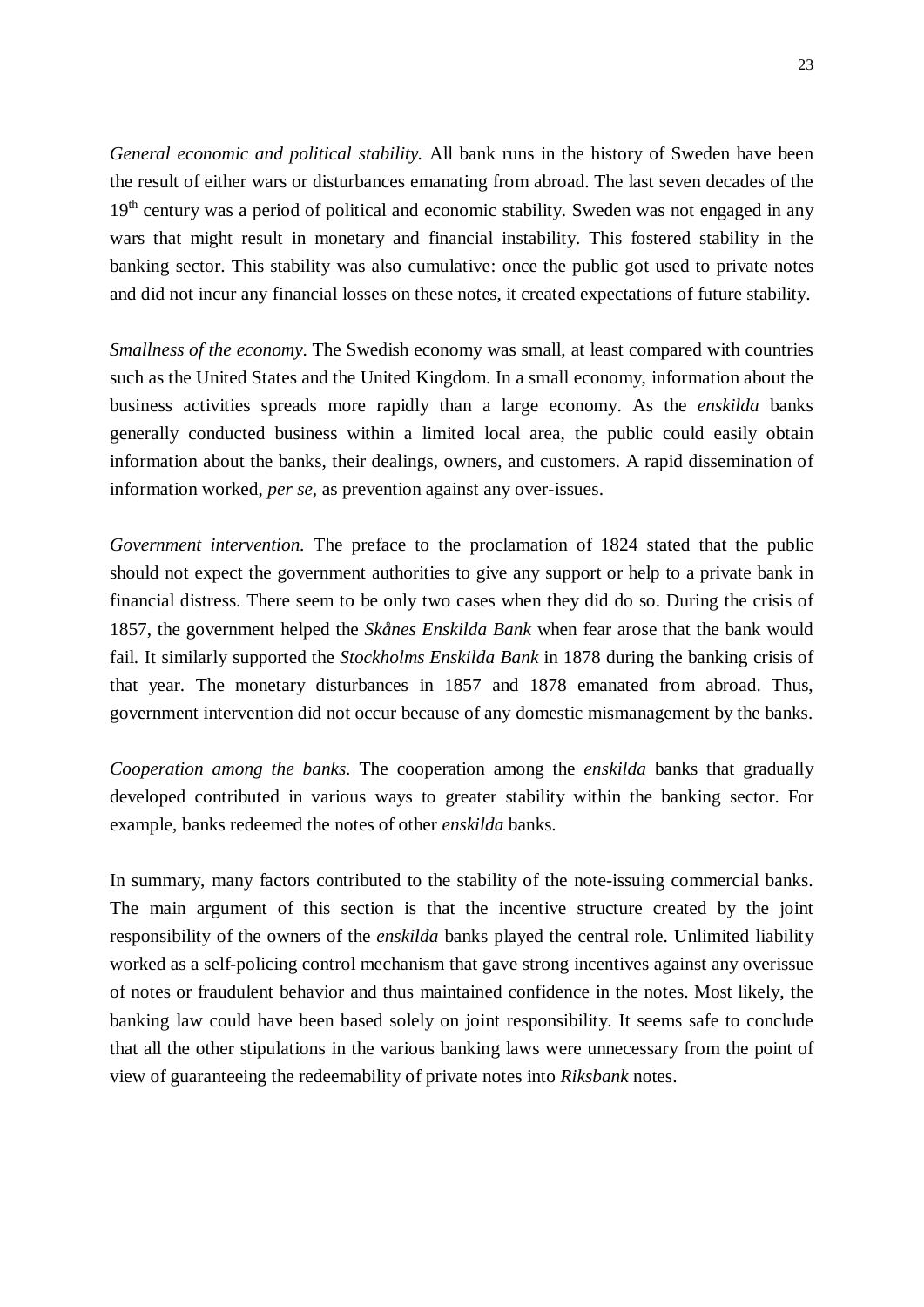*General economic and political stability.* All bank runs in the history of Sweden have been the result of either wars or disturbances emanating from abroad. The last seven decades of the 19<sup>th</sup> century was a period of political and economic stability. Sweden was not engaged in any wars that might result in monetary and financial instability. This fostered stability in the banking sector. This stability was also cumulative: once the public got used to private notes and did not incur any financial losses on these notes, it created expectations of future stability.

*Smallness of the economy*. The Swedish economy was small, at least compared with countries such as the United States and the United Kingdom. In a small economy, information about the business activities spreads more rapidly than a large economy. As the *enskilda* banks generally conducted business within a limited local area, the public could easily obtain information about the banks, their dealings, owners, and customers. A rapid dissemination of information worked, *per se*, as prevention against any over-issues.

*Government intervention.* The preface to the proclamation of 1824 stated that the public should not expect the government authorities to give any support or help to a private bank in financial distress. There seem to be only two cases when they did do so. During the crisis of 1857, the government helped the *Skånes Enskilda Bank* when fear arose that the bank would fail. It similarly supported the *Stockholms Enskilda Bank* in 1878 during the banking crisis of that year. The monetary disturbances in 1857 and 1878 emanated from abroad. Thus, government intervention did not occur because of any domestic mismanagement by the banks.

*Cooperation among the banks*. The cooperation among the *enskilda* banks that gradually developed contributed in various ways to greater stability within the banking sector. For example, banks redeemed the notes of other *enskilda* banks.

In summary, many factors contributed to the stability of the note-issuing commercial banks. The main argument of this section is that the incentive structure created by the joint responsibility of the owners of the *enskilda* banks played the central role. Unlimited liability worked as a self-policing control mechanism that gave strong incentives against any overissue of notes or fraudulent behavior and thus maintained confidence in the notes. Most likely, the banking law could have been based solely on joint responsibility. It seems safe to conclude that all the other stipulations in the various banking laws were unnecessary from the point of view of guaranteeing the redeemability of private notes into *Riksbank* notes.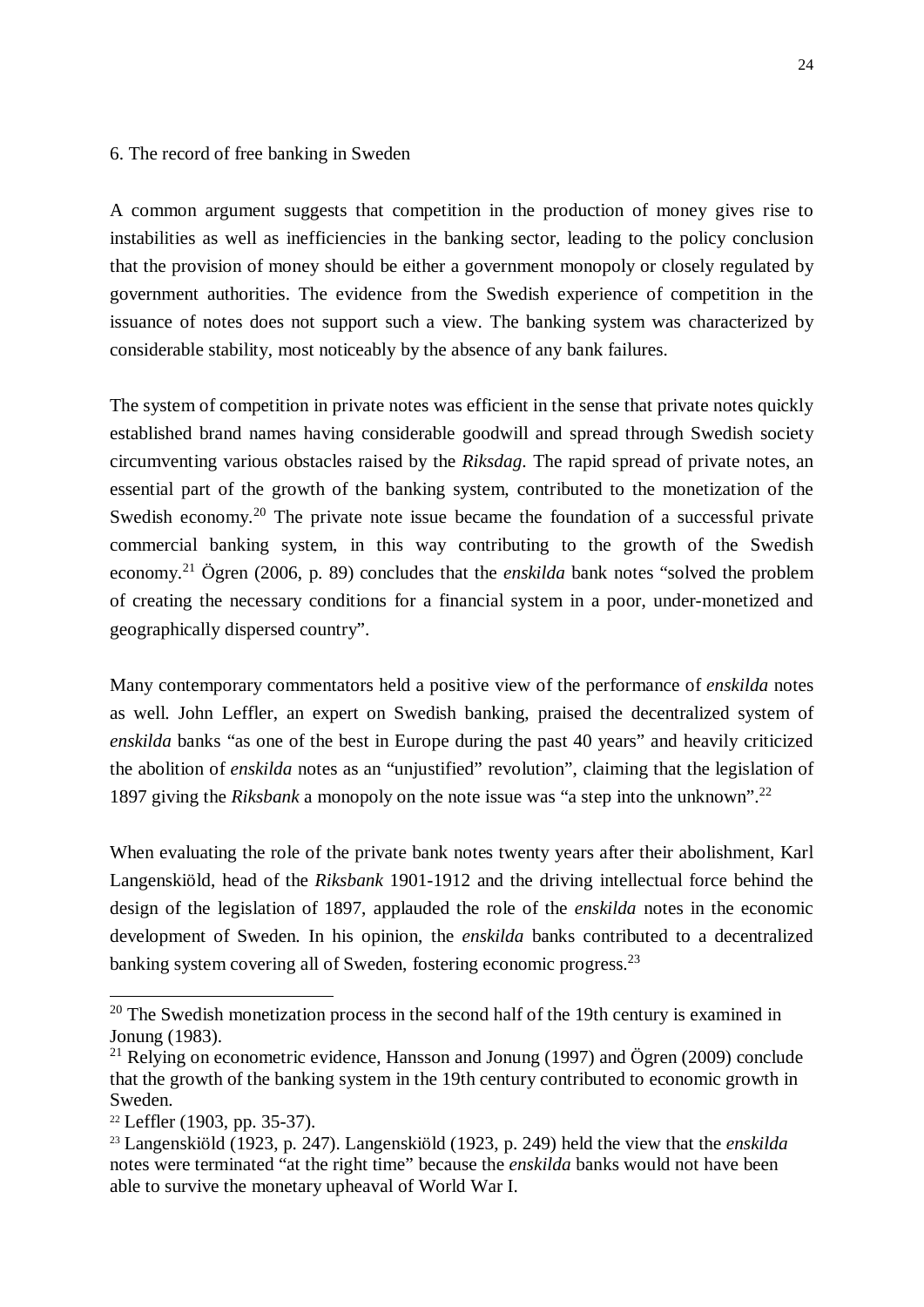#### 6. The record of free banking in Sweden

A common argument suggests that competition in the production of money gives rise to instabilities as well as inefficiencies in the banking sector, leading to the policy conclusion that the provision of money should be either a government monopoly or closely regulated by government authorities. The evidence from the Swedish experience of competition in the issuance of notes does not support such a view. The banking system was characterized by considerable stability, most noticeably by the absence of any bank failures.

The system of competition in private notes was efficient in the sense that private notes quickly established brand names having considerable goodwill and spread through Swedish society circumventing various obstacles raised by the *Riksdag*. The rapid spread of private notes, an essential part of the growth of the banking system, contributed to the monetization of the Swedish economy.<sup>20</sup> The private note issue became the foundation of a successful private commercial banking system, in this way contributing to the growth of the Swedish economy.<sup>21</sup> Ögren (2006, p. 89) concludes that the *enskilda* bank notes "solved the problem of creating the necessary conditions for a financial system in a poor, under-monetized and geographically dispersed country".

Many contemporary commentators held a positive view of the performance of *enskilda* notes as well. John Leffler, an expert on Swedish banking, praised the decentralized system of *enskilda* banks "as one of the best in Europe during the past 40 years" and heavily criticized the abolition of *enskilda* notes as an "unjustified" revolution", claiming that the legislation of 1897 giving the *Riksbank* a monopoly on the note issue was "a step into the unknown".<sup>22</sup>

When evaluating the role of the private bank notes twenty years after their abolishment, Karl Langenskiöld, head of the *Riksbank* 1901-1912 and the driving intellectual force behind the design of the legislation of 1897, applauded the role of the *enskilda* notes in the economic development of Sweden. In his opinion, the *enskilda* banks contributed to a decentralized banking system covering all of Sweden, fostering economic progress.<sup>23</sup>

 $20$  The Swedish monetization process in the second half of the 19th century is examined in Jonung (1983).

<sup>&</sup>lt;sup>21</sup> Relying on econometric evidence, Hansson and Jonung (1997) and Ögren (2009) conclude that the growth of the banking system in the 19th century contributed to economic growth in Sweden.

 $22$  Leffler (1903, pp. 35-37).

<sup>23</sup> Langenskiöld (1923, p. 247). Langenskiöld (1923, p. 249) held the view that the *enskilda* notes were terminated "at the right time" because the *enskilda* banks would not have been able to survive the monetary upheaval of World War I.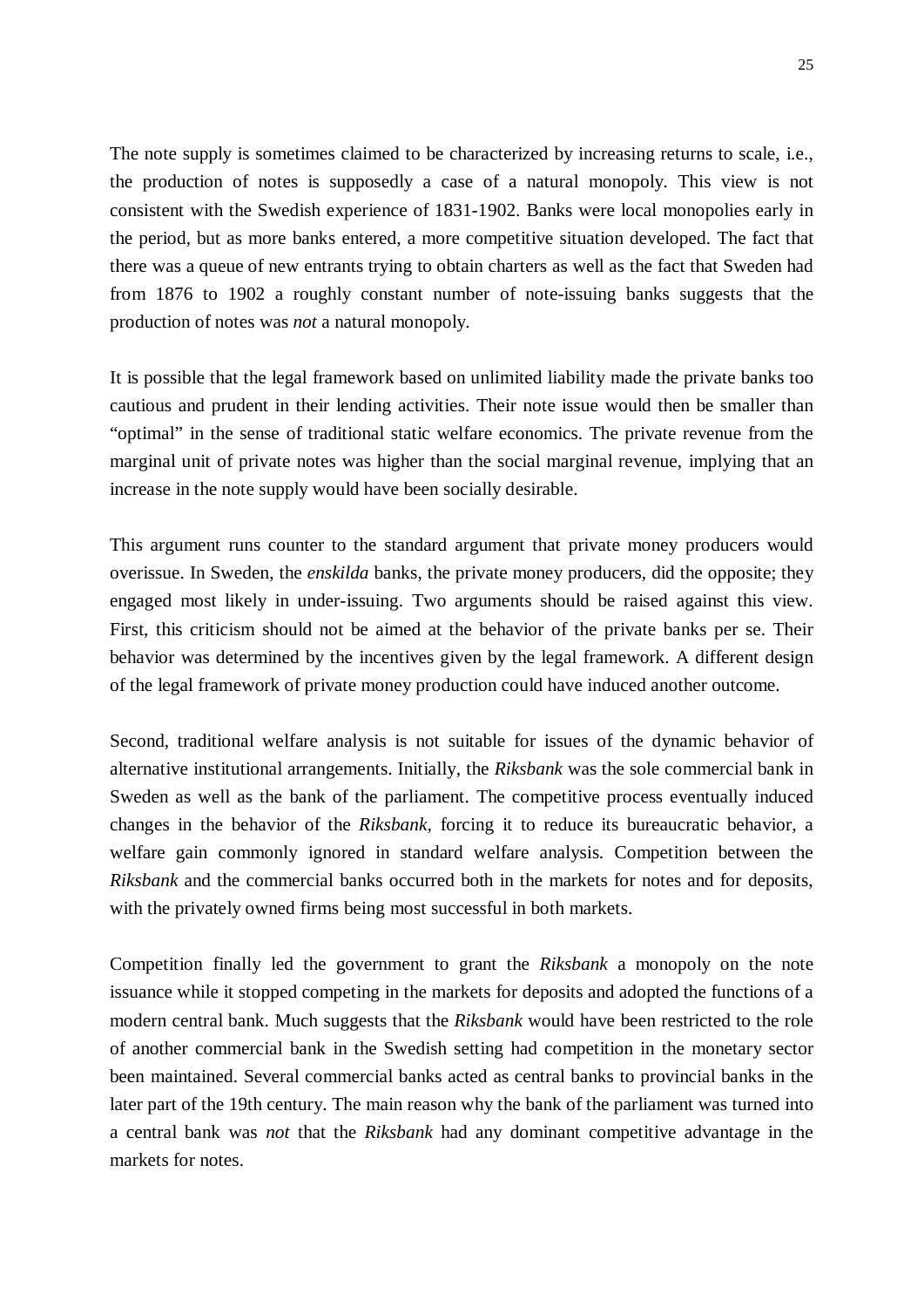The note supply is sometimes claimed to be characterized by increasing returns to scale, i.e., the production of notes is supposedly a case of a natural monopoly. This view is not consistent with the Swedish experience of 1831-1902. Banks were local monopolies early in the period, but as more banks entered, a more competitive situation developed. The fact that there was a queue of new entrants trying to obtain charters as well as the fact that Sweden had from 1876 to 1902 a roughly constant number of note-issuing banks suggests that the production of notes was *not* a natural monopoly.

It is possible that the legal framework based on unlimited liability made the private banks too cautious and prudent in their lending activities. Their note issue would then be smaller than "optimal" in the sense of traditional static welfare economics. The private revenue from the marginal unit of private notes was higher than the social marginal revenue, implying that an increase in the note supply would have been socially desirable.

This argument runs counter to the standard argument that private money producers would overissue. In Sweden, the *enskilda* banks, the private money producers, did the opposite; they engaged most likely in under-issuing. Two arguments should be raised against this view. First, this criticism should not be aimed at the behavior of the private banks per se. Their behavior was determined by the incentives given by the legal framework. A different design of the legal framework of private money production could have induced another outcome.

Second, traditional welfare analysis is not suitable for issues of the dynamic behavior of alternative institutional arrangements. Initially, the *Riksbank* was the sole commercial bank in Sweden as well as the bank of the parliament. The competitive process eventually induced changes in the behavior of the *Riksbank,* forcing it to reduce its bureaucratic behavior, a welfare gain commonly ignored in standard welfare analysis. Competition between the *Riksbank* and the commercial banks occurred both in the markets for notes and for deposits, with the privately owned firms being most successful in both markets.

Competition finally led the government to grant the *Riksbank* a monopoly on the note issuance while it stopped competing in the markets for deposits and adopted the functions of a modern central bank. Much suggests that the *Riksbank* would have been restricted to the role of another commercial bank in the Swedish setting had competition in the monetary sector been maintained. Several commercial banks acted as central banks to provincial banks in the later part of the 19th century. The main reason why the bank of the parliament was turned into a central bank was *not* that the *Riksbank* had any dominant competitive advantage in the markets for notes.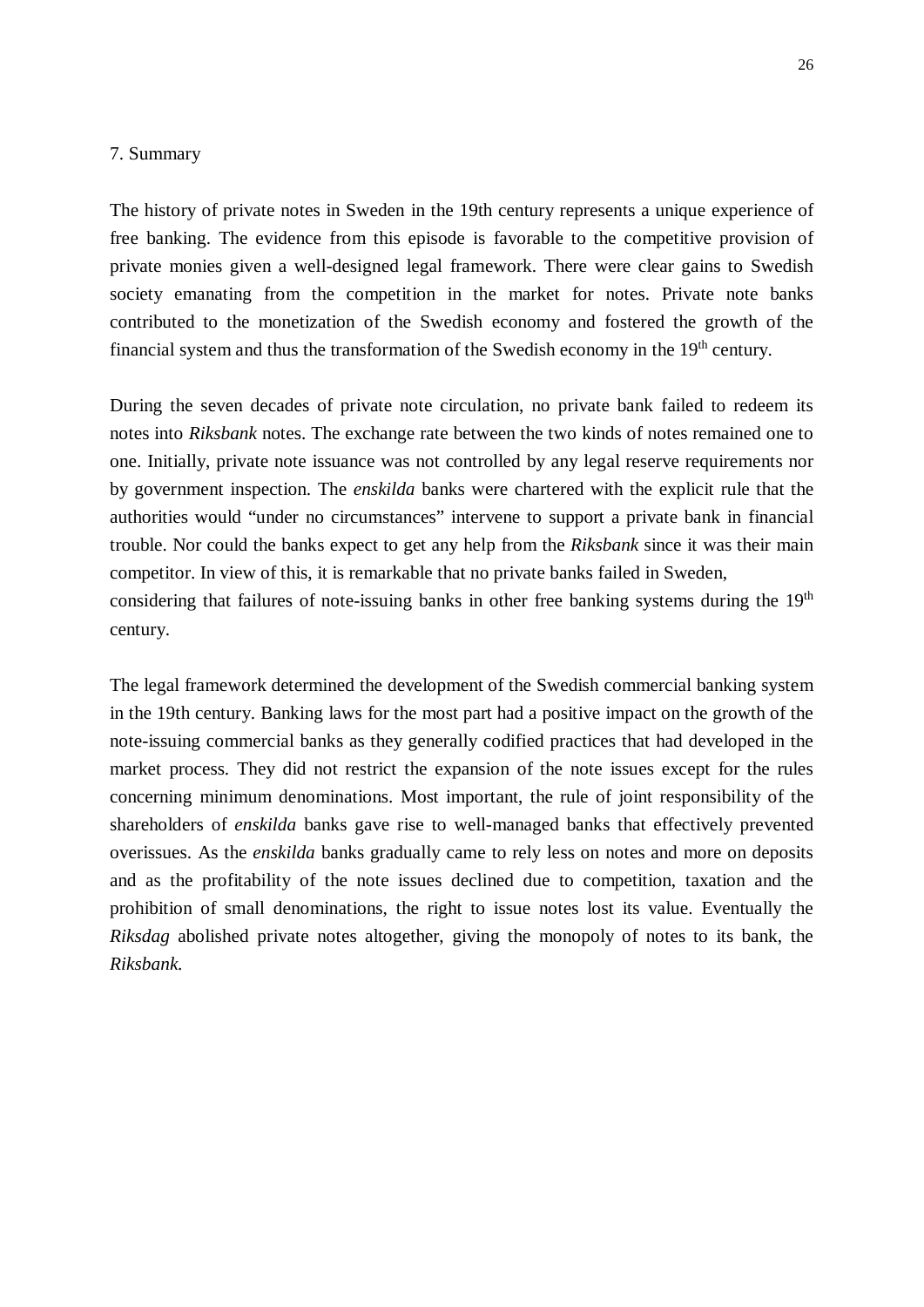#### 7. Summary

The history of private notes in Sweden in the 19th century represents a unique experience of free banking. The evidence from this episode is favorable to the competitive provision of private monies given a well-designed legal framework. There were clear gains to Swedish society emanating from the competition in the market for notes. Private note banks contributed to the monetization of the Swedish economy and fostered the growth of the financial system and thus the transformation of the Swedish economy in the 19<sup>th</sup> century.

During the seven decades of private note circulation, no private bank failed to redeem its notes into *Riksbank* notes. The exchange rate between the two kinds of notes remained one to one. Initially, private note issuance was not controlled by any legal reserve requirements nor by government inspection. The *enskilda* banks were chartered with the explicit rule that the authorities would "under no circumstances" intervene to support a private bank in financial trouble. Nor could the banks expect to get any help from the *Riksbank* since it was their main competitor. In view of this, it is remarkable that no private banks failed in Sweden, considering that failures of note-issuing banks in other free banking systems during the  $19<sup>th</sup>$ century.

The legal framework determined the development of the Swedish commercial banking system in the 19th century. Banking laws for the most part had a positive impact on the growth of the note-issuing commercial banks as they generally codified practices that had developed in the market process. They did not restrict the expansion of the note issues except for the rules concerning minimum denominations. Most important, the rule of joint responsibility of the shareholders of *enskilda* banks gave rise to well-managed banks that effectively prevented overissues. As the *enskilda* banks gradually came to rely less on notes and more on deposits and as the profitability of the note issues declined due to competition, taxation and the prohibition of small denominations, the right to issue notes lost its value. Eventually the *Riksdag* abolished private notes altogether, giving the monopoly of notes to its bank, the *Riksbank.*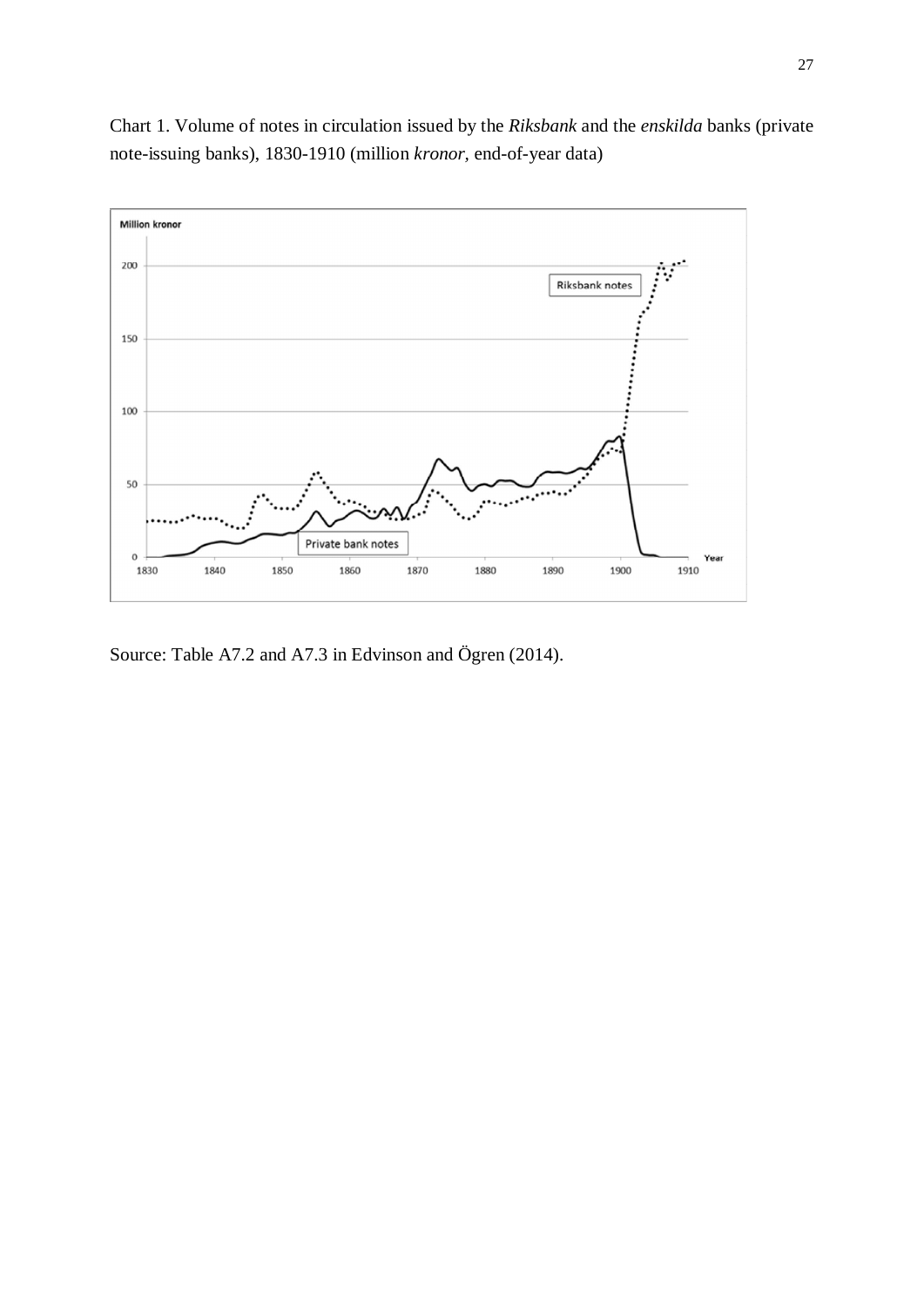

Chart 1. Volume of notes in circulation issued by the *Riksbank* and the *enskilda* banks (private note-issuing banks), 1830-1910 (million *kronor,* end-of-year data)

Source: Table A7.2 and A7.3 in Edvinson and Ögren (2014).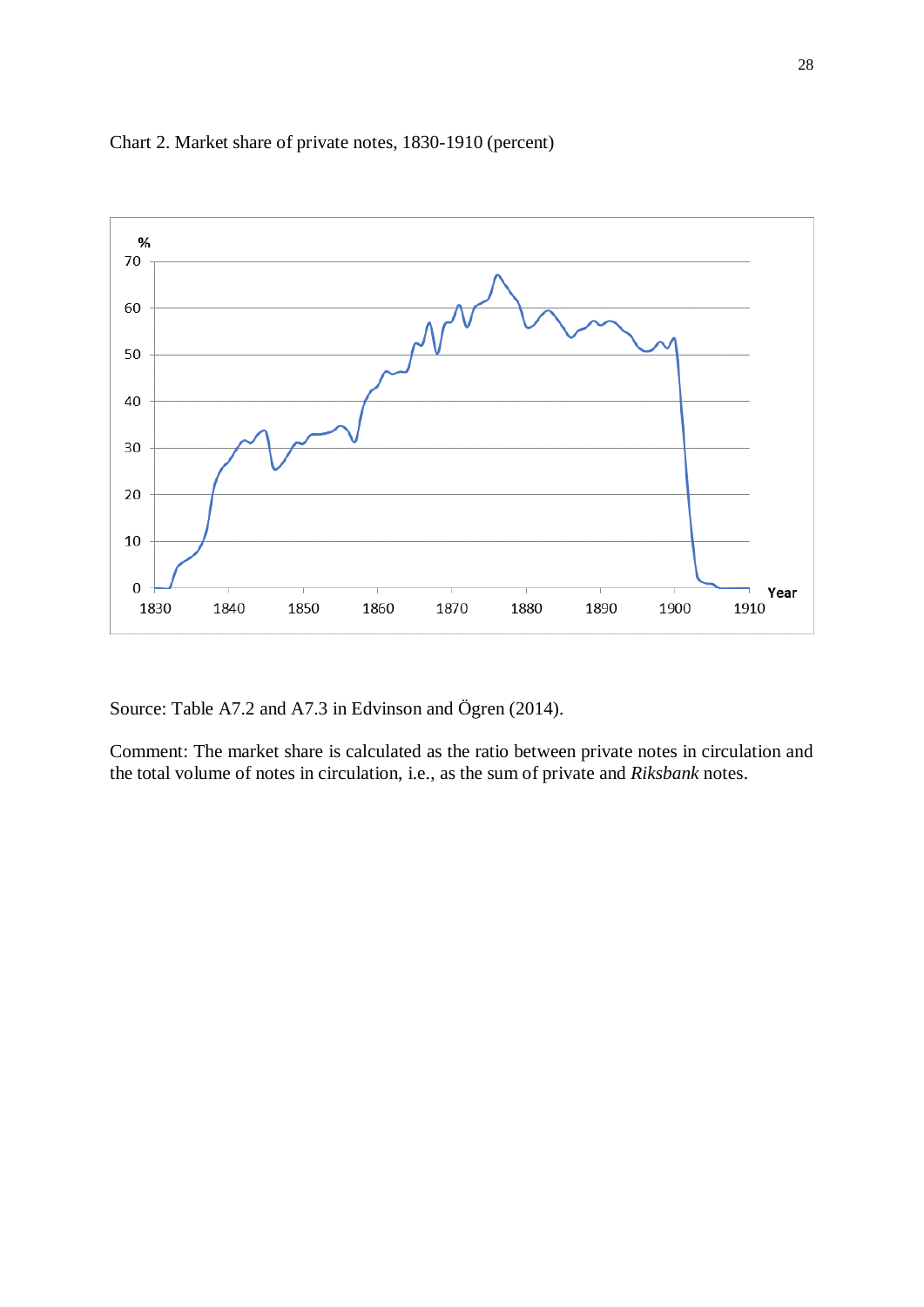

## Chart 2. Market share of private notes, 1830-1910 (percent)

Source: Table A7.2 and A7.3 in Edvinson and Ögren (2014).

Comment: The market share is calculated as the ratio between private notes in circulation and the total volume of notes in circulation, i.e., as the sum of private and *Riksbank* notes.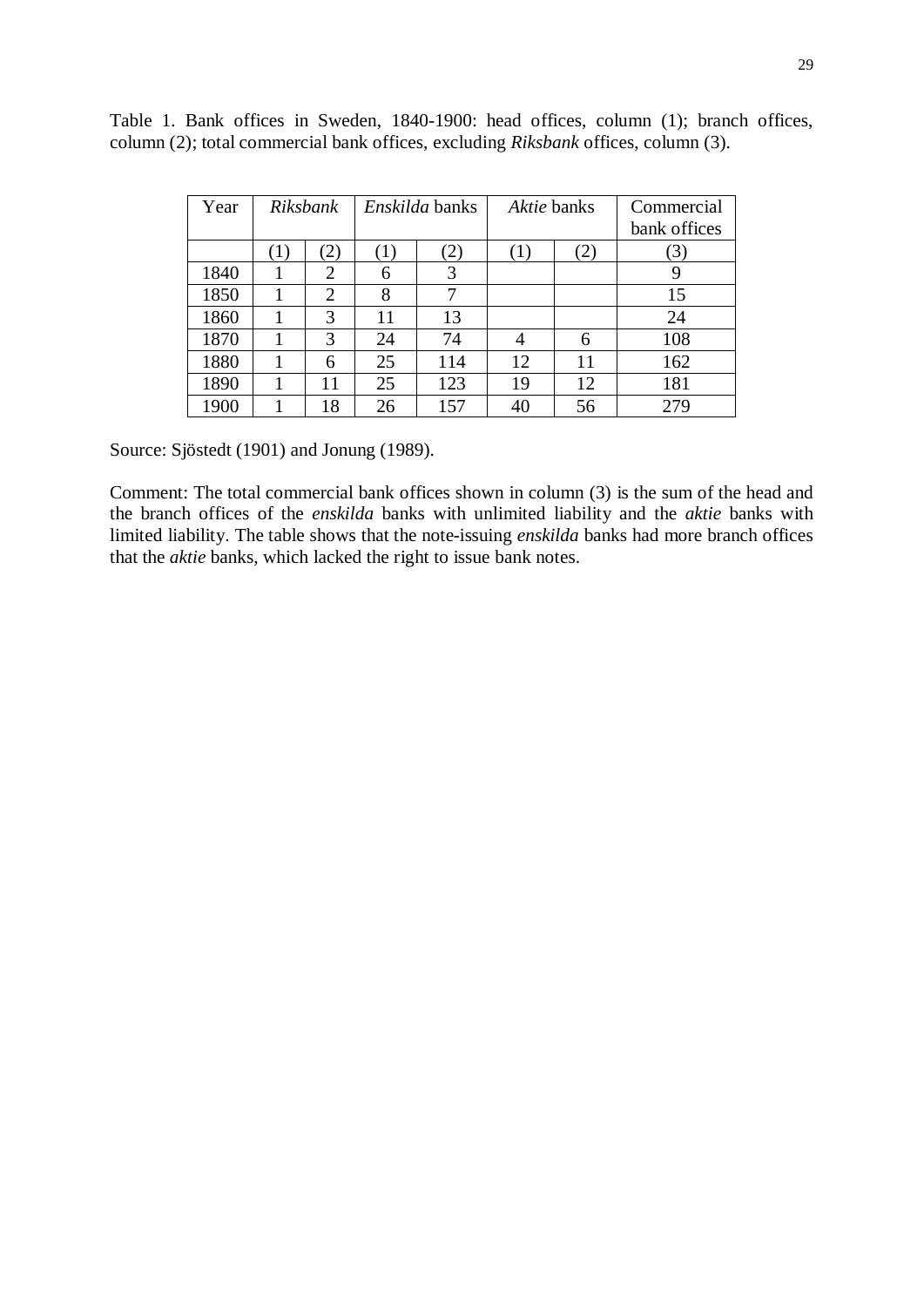| Year |                  | Riksbank      |     | Enskilda banks | Aktie banks |              | Commercial   |
|------|------------------|---------------|-----|----------------|-------------|--------------|--------------|
|      |                  |               |     |                |             |              | bank offices |
|      | $\left(1\right)$ | $\mathbf{2})$ | (1) | $\mathbf{2}$   | (1)         | $\mathbf{2}$ | (3)          |
| 1840 |                  | 2             | 6   | 3              |             |              | 9            |
| 1850 |                  | 2             | 8   | 7              |             |              | 15           |
| 1860 |                  | 3             | 11  | 13             |             |              | 24           |
| 1870 |                  | 3             | 24  | 74             |             | 6            | 108          |
| 1880 |                  | 6             | 25  | 114            | 12          | 11           | 162          |
| 1890 |                  | 11            | 25  | 123            | 19          | 12           | 181          |
| 1900 |                  | 18            | 26  | 157            | 40          | 56           | 279          |

Table 1. Bank offices in Sweden, 1840-1900: head offices, column (1); branch offices, column (2); total commercial bank offices, excluding *Riksbank* offices, column (3).

Source: Sjöstedt (1901) and Jonung (1989).

Comment: The total commercial bank offices shown in column (3) is the sum of the head and the branch offices of the *enskilda* banks with unlimited liability and the *aktie* banks with limited liability. The table shows that the note-issuing *enskilda* banks had more branch offices that the *aktie* banks, which lacked the right to issue bank notes.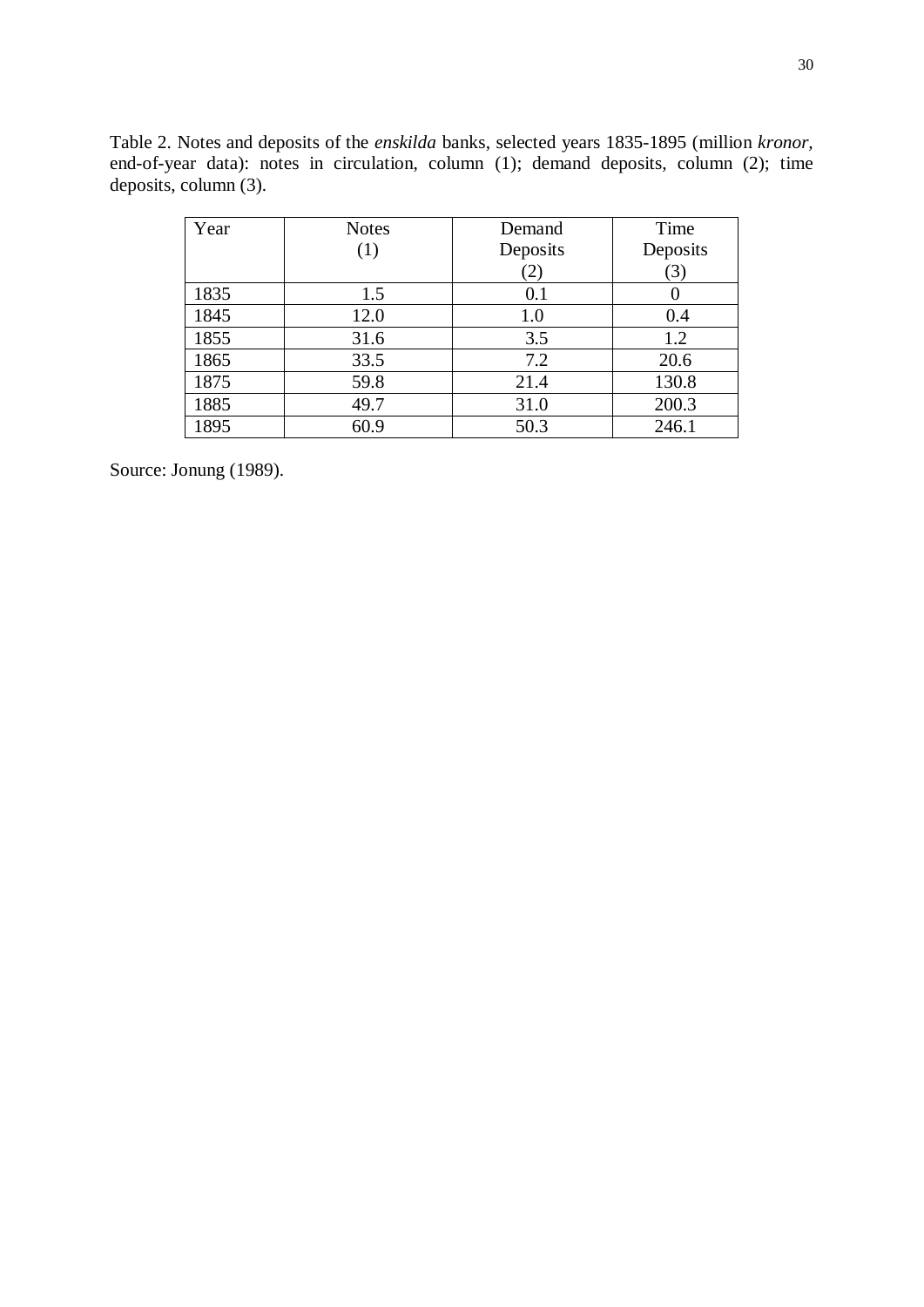Table 2. Notes and deposits of the *enskilda* banks, selected years 1835-1895 (million *kronor,* end-of-year data): notes in circulation, column (1); demand deposits, column (2); time deposits, column  $(3)$ .

| Year | <b>Notes</b> | Demand       | Time     |
|------|--------------|--------------|----------|
|      | (1)          | Deposits     | Deposits |
|      |              | $\mathbf{2}$ | (3)      |
| 1835 | 1.5          | 0.1          |          |
| 1845 | 12.0         | 1.0          | 0.4      |
| 1855 | 31.6         | 3.5          | 1.2      |
| 1865 | 33.5         | 7.2          | 20.6     |
| 1875 | 59.8         | 21.4         | 130.8    |
| 1885 | 49.7         | 31.0         | 200.3    |
| 1895 | 60.9         | 50.3         | 246.1    |

Source: Jonung (1989).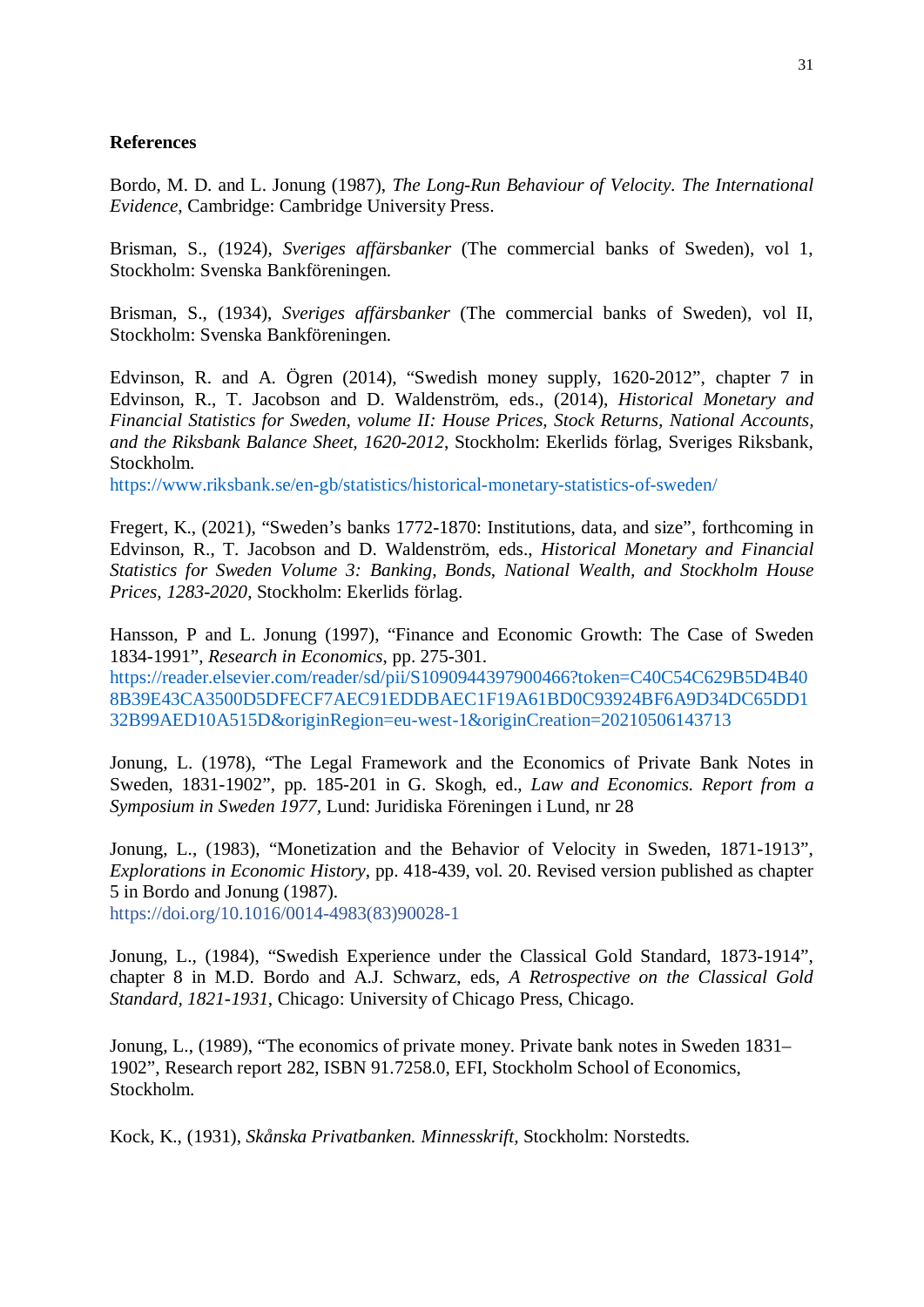#### **References**

Bordo, M. D. and L. Jonung (1987), *The Long-Run Behaviour of Velocity. The International Evidence,* Cambridge: Cambridge University Press.

Brisman, S., (1924), *Sveriges affärsbanker* (The commercial banks of Sweden), vol 1, Stockholm: Svenska Bankföreningen.

Brisman, S., (1934), *Sveriges affärsbanker* (The commercial banks of Sweden), vol II, Stockholm: Svenska Bankföreningen.

Edvinson, R. and A. Ögren (2014), "Swedish money supply, 1620-2012", chapter 7 in Edvinson, R., T. Jacobson and D. Waldenström, eds., (2014), *Historical Monetary and Financial Statistics for Sweden, volume II: House Prices, Stock Returns, National Accounts, and the Riksbank Balance Sheet, 1620-2012*, Stockholm: Ekerlids förlag, Sveriges Riksbank, Stockholm.

https://www.riksbank.se/en-gb/statistics/historical-monetary-statistics-of-sweden/

Fregert, K., (2021), "Sweden's banks 1772-1870: Institutions, data, and size", forthcoming in Edvinson, R., T. Jacobson and D. Waldenström, eds., *Historical Monetary and Financial Statistics for Sweden Volume 3: Banking, Bonds, National Wealth, and Stockholm House Prices, 1283-2020*, Stockholm: Ekerlids förlag.

Hansson, P and L. Jonung (1997), "Finance and Economic Growth: The Case of Sweden 1834-1991", *Research in Economics*, pp. 275-301.

https://reader.elsevier.com/reader/sd/pii/S1090944397900466?token=C40C54C629B5D4B40 8B39E43CA3500D5DFECF7AEC91EDDBAEC1F19A61BD0C93924BF6A9D34DC65DD1 32B99AED10A515D&originRegion=eu-west-1&originCreation=20210506143713

Jonung, L. (1978), "The Legal Framework and the Economics of Private Bank Notes in Sweden, 1831-1902", pp. 185-201 in G. Skogh, ed., *Law and Economics. Report from a Symposium in Sweden 1977,* Lund: Juridiska Föreningen i Lund, nr 28

Jonung, L., (1983), "Monetization and the Behavior of Velocity in Sweden, 1871-1913", *Explorations in Economic History*, pp. 418-439, vol. 20. Revised version published as chapter 5 in Bordo and Jonung (1987).

https://doi.org/10.1016/0014-4983(83)90028-1

Jonung, L., (1984), "Swedish Experience under the Classical Gold Standard, 1873-1914", chapter 8 in M.D. Bordo and A.J. Schwarz, eds, *A Retrospective on the Classical Gold Standard, 1821-1931*, Chicago: University of Chicago Press, Chicago.

Jonung, L., (1989), "The economics of private money. Private bank notes in Sweden 1831– 1902", Research report 282, ISBN 91.7258.0, EFI, Stockholm School of Economics, Stockholm.

Kock, K., (1931), *Skånska Privatbanken. Minnesskrift,* Stockholm: Norstedts.